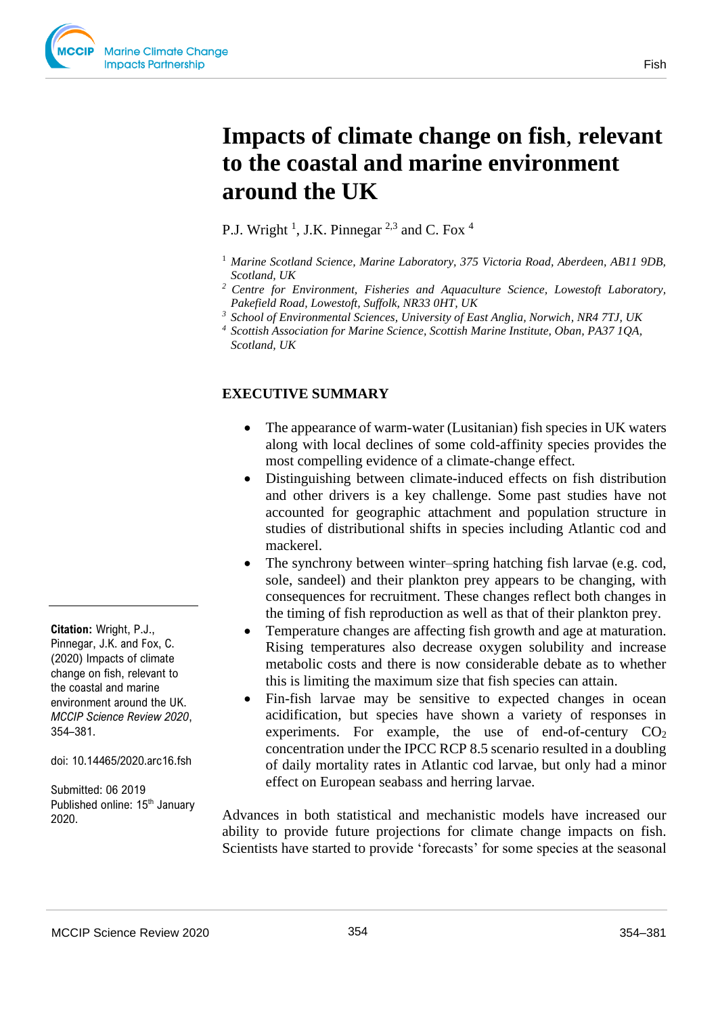

# **Impacts of climate change on fish**, **relevant to the coastal and marine environment around the UK**

P.J. Wright <sup>1</sup>, J.K. Pinnegar <sup>2,3</sup> and C. Fox <sup>4</sup>

- <sup>1</sup> Marine Scotland Science, Marine Laboratory, 375 Victoria Road, Aberdeen, AB11 9DB, *Scotland, UK*
- *<sup>2</sup>Centre for Environment, Fisheries and Aquaculture Science, Lowestoft Laboratory, Pakefield Road, Lowestoft, Suffolk, NR33 0HT, UK*
- *<sup>3</sup>School of Environmental Sciences, University of East Anglia, Norwich, NR4 7TJ, UK*
- *<sup>4</sup> Scottish Association for Marine Science, Scottish Marine Institute, Oban, PA37 1QA, Scotland, UK*

# **EXECUTIVE SUMMARY**

- The appearance of warm-water (Lusitanian) fish species in UK waters along with local declines of some cold-affinity species provides the most compelling evidence of a climate-change effect.
- Distinguishing between climate-induced effects on fish distribution and other drivers is a key challenge. Some past studies have not accounted for geographic attachment and population structure in studies of distributional shifts in species including Atlantic cod and mackerel.
- The synchrony between winter–spring hatching fish larvae (e.g. cod, sole, sandeel) and their plankton prey appears to be changing, with consequences for recruitment. These changes reflect both changes in the timing of fish reproduction as well as that of their plankton prey.
- Temperature changes are affecting fish growth and age at maturation. Rising temperatures also decrease oxygen solubility and increase metabolic costs and there is now considerable debate as to whether this is limiting the maximum size that fish species can attain.
- Fin-fish larvae may be sensitive to expected changes in ocean acidification, but species have shown a variety of responses in experiments. For example, the use of end-of-century  $CO<sub>2</sub>$ concentration under the IPCC RCP 8.5 scenario resulted in a doubling of daily mortality rates in Atlantic cod larvae, but only had a minor effect on European seabass and herring larvae.

Advances in both statistical and mechanistic models have increased our ability to provide future projections for climate change impacts on fish. Scientists have started to provide 'forecasts' for some species at the seasonal

**Citation:** Wright, P.J., Pinnegar, J.K. and Fox, C. (2020) Impacts of climate change on fish, relevant to the coastal and marine environment around the UK. *MCCIP Science Review 2020*, 354–381.

doi: 10.14465/2020.arc16.fsh

Submitted: 06 2019 Published online: 15<sup>th</sup> January 2020.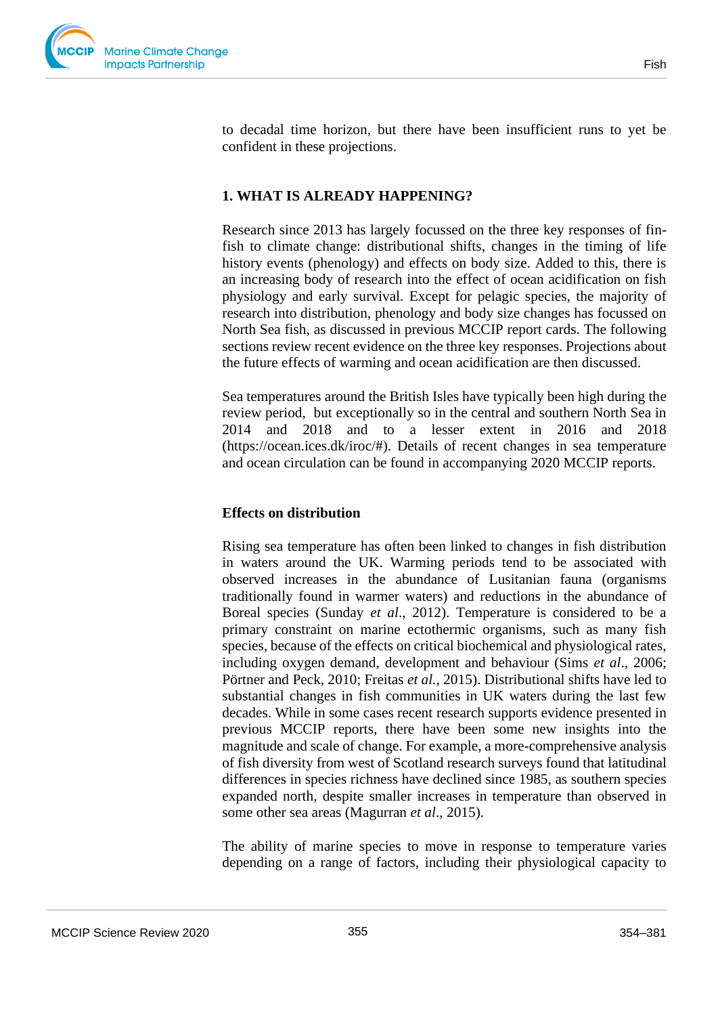

to decadal time horizon, but there have been insufficient runs to yet be confident in these projections.

## **1. WHAT IS ALREADY HAPPENING?**

Research since 2013 has largely focussed on the three key responses of finfish to climate change: distributional shifts, changes in the timing of life history events (phenology) and effects on body size. Added to this, there is an increasing body of research into the effect of ocean acidification on fish physiology and early survival. Except for pelagic species, the majority of research into distribution, phenology and body size changes has focussed on North Sea fish, as discussed in previous MCCIP report cards. The following sections review recent evidence on the three key responses. Projections about the future effects of warming and ocean acidification are then discussed.

Sea temperatures around the British Isles have typically been high during the review period, but exceptionally so in the central and southern North Sea in 2014 and 2018 and to a lesser extent in 2016 and 2018 (https://ocean.ices.dk/iroc/#). Details of recent changes in sea temperature and ocean circulation can be found in accompanying 2020 MCCIP reports.

## **Effects on distribution**

Rising sea temperature has often been linked to changes in fish distribution in waters around the UK. Warming periods tend to be associated with observed increases in the abundance of Lusitanian fauna (organisms traditionally found in warmer waters) and reductions in the abundance of Boreal species (Sunday *et al*., 2012). Temperature is considered to be a primary constraint on marine ectothermic organisms, such as many fish species, because of the effects on critical biochemical and physiological rates, including oxygen demand, development and behaviour (Sims *et al*., 2006; Pörtner and Peck, 2010; Freitas *et al.,* 2015). Distributional shifts have led to substantial changes in fish communities in UK waters during the last few decades. While in some cases recent research supports evidence presented in previous MCCIP reports, there have been some new insights into the magnitude and scale of change. For example, a more-comprehensive analysis of fish diversity from west of Scotland research surveys found that latitudinal differences in species richness have declined since 1985, as southern species expanded north, despite smaller increases in temperature than observed in some other sea areas (Magurran *et al*., 2015).

The ability of marine species to move in response to temperature varies depending on a range of factors, including their physiological capacity to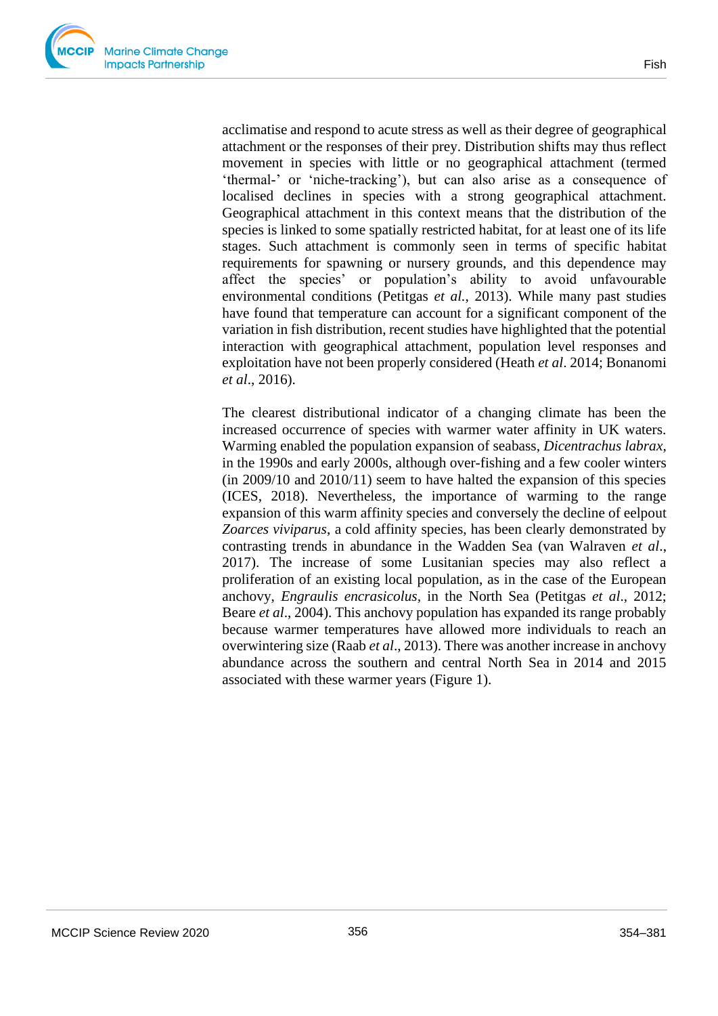acclimatise and respond to acute stress as well as their degree of geographical attachment or the responses of their prey. Distribution shifts may thus reflect movement in species with little or no geographical attachment (termed 'thermal-' or 'niche-tracking'), but can also arise as a consequence of localised declines in species with a strong geographical attachment. Geographical attachment in this context means that the distribution of the species is linked to some spatially restricted habitat, for at least one of its life stages. Such attachment is commonly seen in terms of specific habitat requirements for spawning or nursery grounds, and this dependence may affect the species' or population's ability to avoid unfavourable environmental conditions (Petitgas *et al.*, 2013). While many past studies have found that temperature can account for a significant component of the variation in fish distribution, recent studies have highlighted that the potential interaction with geographical attachment, population level responses and exploitation have not been properly considered (Heath *et al*. 2014; Bonanomi *et al*., 2016).

The clearest distributional indicator of a changing climate has been the increased occurrence of species with warmer water affinity in UK waters. Warming enabled the population expansion of seabass, *Dicentrachus labrax*, in the 1990s and early 2000s, although over-fishing and a few cooler winters  $(in 2009/10 and 2010/11)$  seem to have halted the expansion of this species (ICES, 2018). Nevertheless, the importance of warming to the range expansion of this warm affinity species and conversely the decline of eelpout *Zoarces viviparus*, a cold affinity species, has been clearly demonstrated by contrasting trends in abundance in the Wadden Sea (van Walraven *et al*., 2017). The increase of some Lusitanian species may also reflect a proliferation of an existing local population, as in the case of the European anchovy, *Engraulis encrasicolus,* in the North Sea (Petitgas *et al*., 2012; Beare *et al*., 2004). This anchovy population has expanded its range probably because warmer temperatures have allowed more individuals to reach an overwintering size (Raab *et al*., 2013). There was another increase in anchovy abundance across the southern and central North Sea in 2014 and 2015 associated with these warmer years (Figure 1).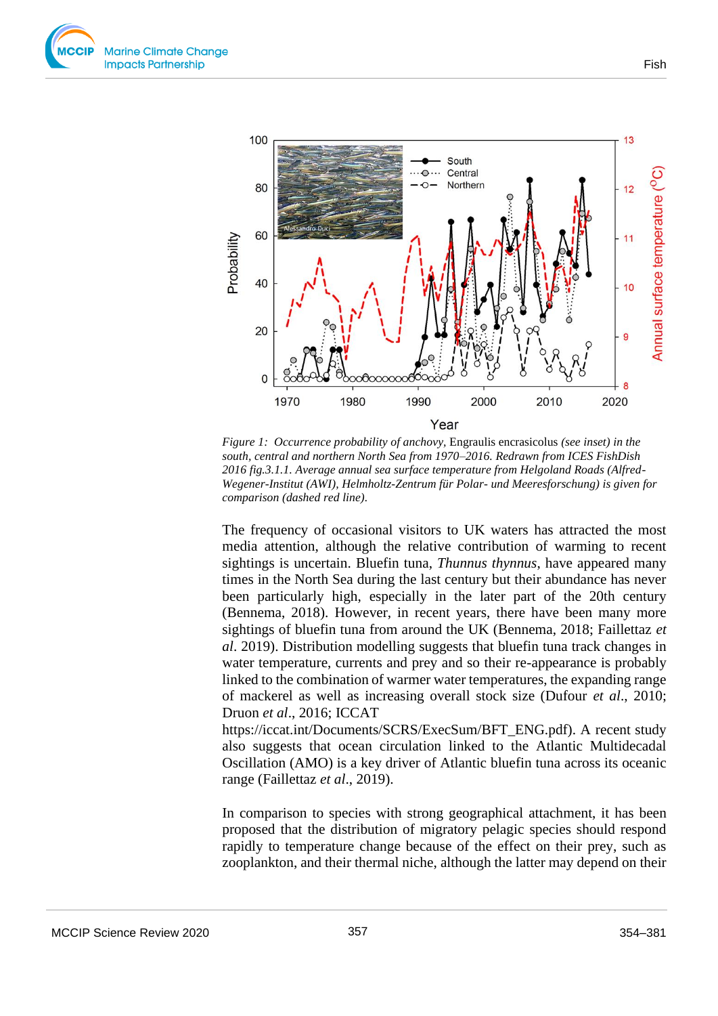



*Figure 1: Occurrence probability of anchovy,* Engraulis encrasicolus *(see inset) in the south, central and northern North Sea from 1970–2016. Redrawn from ICES FishDish 2016 fig.3.1.1. Average annual sea surface temperature from Helgoland Roads (Alfred-Wegener-Institut (AWI), Helmholtz-Zentrum für Polar- und Meeresforschung) is given for comparison (dashed red line).*

The frequency of occasional visitors to UK waters has attracted the most media attention, although the relative contribution of warming to recent sightings is uncertain. Bluefin tuna, *Thunnus thynnus*, have appeared many times in the North Sea during the last century but their abundance has never been particularly high, especially in the later part of the 20th century (Bennema, 2018). However, in recent years, there have been many more sightings of bluefin tuna from around the UK (Bennema, 2018; Faillettaz *et al*. 2019). Distribution modelling suggests that bluefin tuna track changes in water temperature, currents and prey and so their re-appearance is probably linked to the combination of warmer water temperatures, the expanding range of mackerel as well as increasing overall stock size (Dufour *et al*., 2010; Druon *et al*., 2016; ICCAT

https://iccat.int/Documents/SCRS/ExecSum/BFT\_ENG.pdf). A recent study also suggests that ocean circulation linked to the Atlantic Multidecadal Oscillation (AMO) is a key driver of Atlantic bluefin tuna across its oceanic range (Faillettaz *et al*., 2019).

In comparison to species with strong geographical attachment, it has been proposed that the distribution of migratory pelagic species should respond rapidly to temperature change because of the effect on their prey, such as zooplankton, and their thermal niche, although the latter may depend on their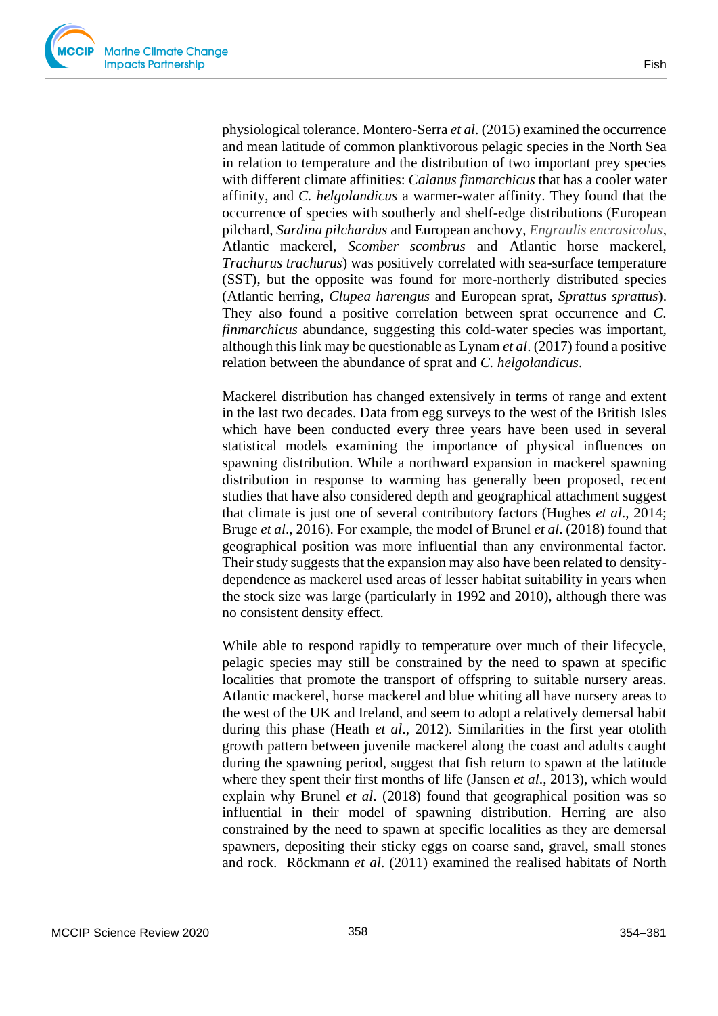physiological tolerance. Montero-Serra *et al*. (2015) examined the occurrence and mean latitude of common planktivorous pelagic species in the North Sea in relation to temperature and the distribution of two important prey species with different climate affinities: *Calanus finmarchicus* that has a cooler water affinity, and *C. helgolandicus* a warmer-water affinity. They found that the occurrence of species with southerly and shelf-edge distributions (European pilchard, *Sardina pilchardus* and European anchovy, *Engraulis encrasicolus*, Atlantic mackerel, *Scomber scombrus* and Atlantic horse mackerel, *Trachurus trachurus*) was positively correlated with sea-surface temperature (SST), but the opposite was found for more-northerly distributed species (Atlantic herring, *Clupea harengus* and European sprat, *Sprattus sprattus*). They also found a positive correlation between sprat occurrence and *C. finmarchicus* abundance, suggesting this cold-water species was important, although this link may be questionable as Lynam *et al*. (2017) found a positive relation between the abundance of sprat and *C. helgolandicus*.

Mackerel distribution has changed extensively in terms of range and extent in the last two decades. Data from egg surveys to the west of the British Isles which have been conducted every three years have been used in several statistical models examining the importance of physical influences on spawning distribution. While a northward expansion in mackerel spawning distribution in response to warming has generally been proposed, recent studies that have also considered depth and geographical attachment suggest that climate is just one of several contributory factors (Hughes *et al*., 2014; Bruge *et al*., 2016). For example, the model of Brunel *et al*. (2018) found that geographical position was more influential than any environmental factor. Their study suggests that the expansion may also have been related to densitydependence as mackerel used areas of lesser habitat suitability in years when the stock size was large (particularly in 1992 and 2010), although there was no consistent density effect.

While able to respond rapidly to temperature over much of their lifecycle, pelagic species may still be constrained by the need to spawn at specific localities that promote the transport of offspring to suitable nursery areas. Atlantic mackerel, horse mackerel and blue whiting all have nursery areas to the west of the UK and Ireland, and seem to adopt a relatively demersal habit during this phase (Heath *et al*., 2012). Similarities in the first year otolith growth pattern between juvenile mackerel along the coast and adults caught during the spawning period, suggest that fish return to spawn at the latitude where they spent their first months of life (Jansen *et al*., 2013), which would explain why Brunel *et al*. (2018) found that geographical position was so influential in their model of spawning distribution. Herring are also constrained by the need to spawn at specific localities as they are demersal spawners, depositing their sticky eggs on coarse sand, gravel, small stones and rock. Röckmann *et al*. (2011) examined the realised habitats of North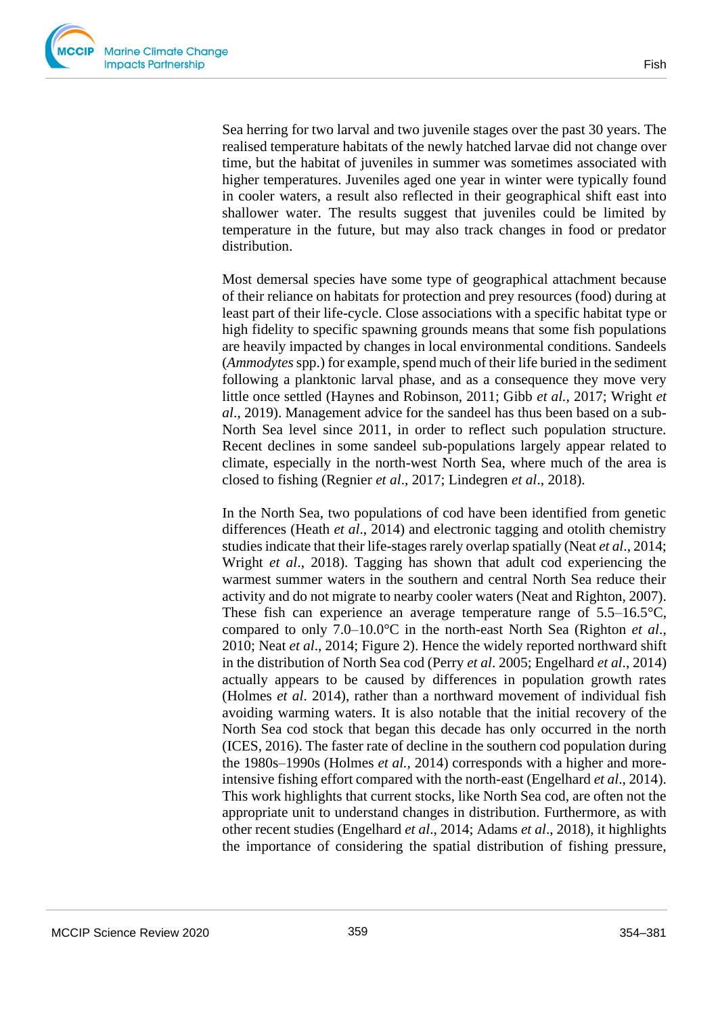

Sea herring for two larval and two juvenile stages over the past 30 years. The realised temperature habitats of the newly hatched larvae did not change over time, but the habitat of juveniles in summer was sometimes associated with higher temperatures. Juveniles aged one year in winter were typically found in cooler waters, a result also reflected in their geographical shift east into shallower water. The results suggest that juveniles could be limited by temperature in the future, but may also track changes in food or predator distribution.

Most demersal species have some type of geographical attachment because of their reliance on habitats for protection and prey resources (food) during at least part of their life-cycle. Close associations with a specific habitat type or high fidelity to specific spawning grounds means that some fish populations are heavily impacted by changes in local environmental conditions. Sandeels (*Ammodytes* spp.) for example, spend much of their life buried in the sediment following a planktonic larval phase, and as a consequence they move very little once settled (Haynes and Robinson, 2011; Gibb *et al.,* 2017; Wright *et al*., 2019). Management advice for the sandeel has thus been based on a sub-North Sea level since 2011, in order to reflect such population structure. Recent declines in some sandeel sub-populations largely appear related to climate, especially in the north-west North Sea, where much of the area is closed to fishing (Regnier *et al*., 2017; Lindegren *et al*., 2018).

In the North Sea, two populations of cod have been identified from genetic differences (Heath *et al*., 2014) and electronic tagging and otolith chemistry studies indicate that their life-stages rarely overlap spatially (Neat *et al*., 2014; Wright *et al*., 2018). Tagging has shown that adult cod experiencing the warmest summer waters in the southern and central North Sea reduce their activity and do not migrate to nearby cooler waters (Neat and Righton, 2007). These fish can experience an average temperature range of 5.5–16.5°C, compared to only 7.0–10.0°C in the north-east North Sea (Righton *et al*., 2010; Neat *et al*., 2014; Figure 2). Hence the widely reported northward shift in the distribution of North Sea cod (Perry *et al*. 2005; Engelhard *et al*., 2014) actually appears to be caused by differences in population growth rates (Holmes *et al*. 2014), rather than a northward movement of individual fish avoiding warming waters. It is also notable that the initial recovery of the North Sea cod stock that began this decade has only occurred in the north (ICES, 2016). The faster rate of decline in the southern cod population during the 1980s–1990s (Holmes *et al.,* 2014) corresponds with a higher and moreintensive fishing effort compared with the north-east (Engelhard *et al*., 2014). This work highlights that current stocks, like North Sea cod, are often not the appropriate unit to understand changes in distribution. Furthermore, as with other recent studies (Engelhard *et al*., 2014; Adams *et al*., 2018), it highlights the importance of considering the spatial distribution of fishing pressure,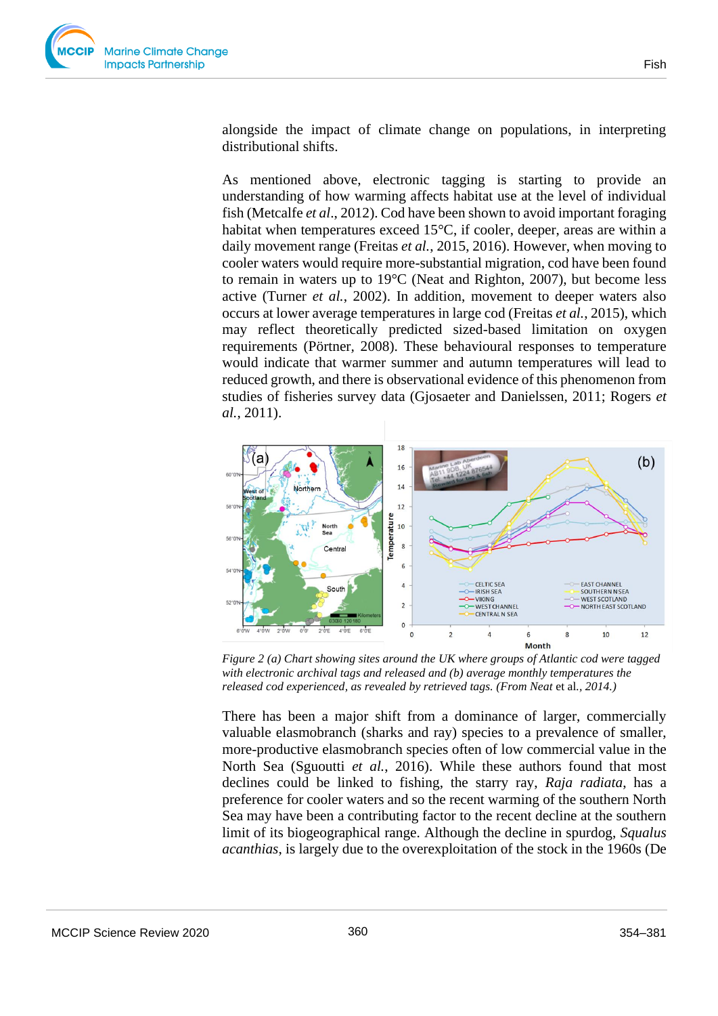

alongside the impact of climate change on populations, in interpreting distributional shifts.

As mentioned above, electronic tagging is starting to provide an understanding of how warming affects habitat use at the level of individual fish (Metcalfe *et al*., 2012). Cod have been shown to avoid important foraging habitat when temperatures exceed 15°C, if cooler, deeper, areas are within a daily movement range (Freitas *et al.*, 2015, 2016). However, when moving to cooler waters would require more-substantial migration, cod have been found to remain in waters up to 19°C (Neat and Righton, 2007), but become less active (Turner *et al.*, 2002). In addition, movement to deeper waters also occurs at lower average temperatures in large cod (Freitas *et al.*, 2015), which may reflect theoretically predicted sized-based limitation on oxygen requirements (Pörtner*,* 2008). These behavioural responses to temperature would indicate that warmer summer and autumn temperatures will lead to reduced growth, and there is observational evidence of this phenomenon from studies of fisheries survey data (Gjosaeter and Danielssen, 2011; Rogers *et al.*, 2011).



*Figure 2 (a) Chart showing sites around the UK where groups of Atlantic cod were tagged with electronic archival tags and released and (b) average monthly temperatures the released cod experienced, as revealed by retrieved tags. (From Neat* et al*., 2014.)* 

There has been a major shift from a dominance of larger, commercially valuable elasmobranch (sharks and ray) species to a prevalence of smaller, more-productive elasmobranch species often of low commercial value in the North Sea (Sguoutti *et al.*, 2016). While these authors found that most declines could be linked to fishing, the starry ray, *Raja radiata*, has a preference for cooler waters and so the recent warming of the southern North Sea may have been a contributing factor to the recent decline at the southern limit of its biogeographical range. Although the decline in spurdog, *Squalus acanthias*, is largely due to the overexploitation of the stock in the 1960s (De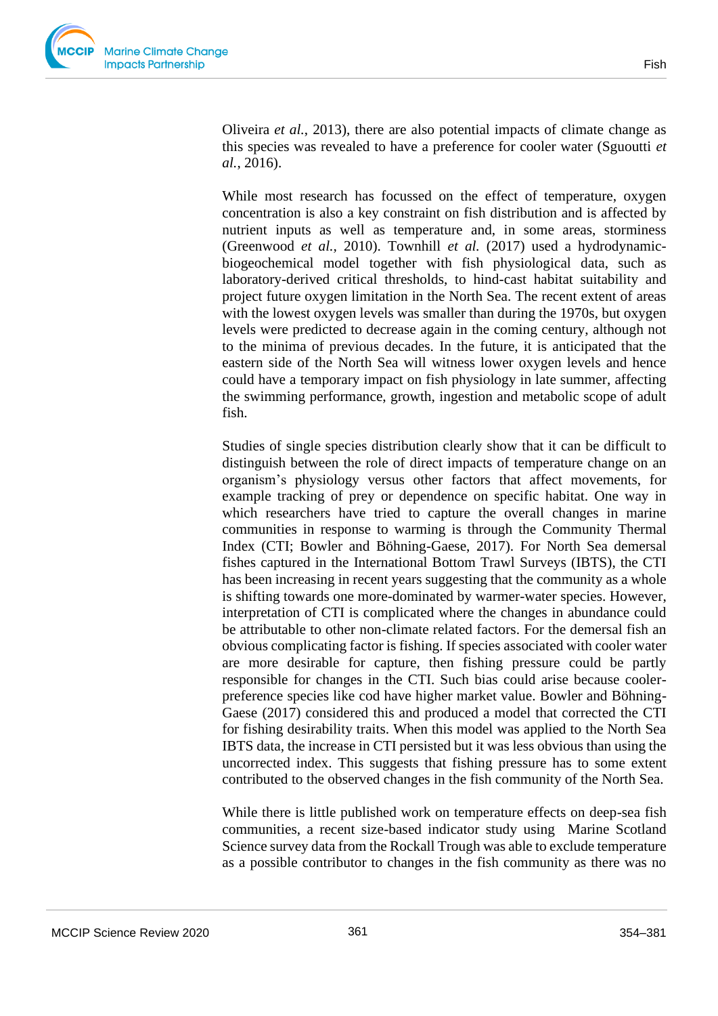Oliveira *et al.*, 2013), there are also potential impacts of climate change as this species was revealed to have a preference for cooler water (Sguoutti *et al.*, 2016).

While most research has focussed on the effect of temperature, oxygen concentration is also a key constraint on fish distribution and is affected by nutrient inputs as well as temperature and, in some areas, storminess (Greenwood *et al.,* 2010). Townhill *et al.* (2017) used a hydrodynamicbiogeochemical model together with fish physiological data, such as laboratory-derived critical thresholds, to hind-cast habitat suitability and project future oxygen limitation in the North Sea. The recent extent of areas with the lowest oxygen levels was smaller than during the 1970s, but oxygen levels were predicted to decrease again in the coming century, although not to the minima of previous decades. In the future, it is anticipated that the eastern side of the North Sea will witness lower oxygen levels and hence could have a temporary impact on fish physiology in late summer, affecting the swimming performance, growth, ingestion and metabolic scope of adult fish.

Studies of single species distribution clearly show that it can be difficult to distinguish between the role of direct impacts of temperature change on an organism's physiology versus other factors that affect movements, for example tracking of prey or dependence on specific habitat. One way in which researchers have tried to capture the overall changes in marine communities in response to warming is through the Community Thermal Index (CTI; Bowler and Böhning-Gaese, 2017). For North Sea demersal fishes captured in the International Bottom Trawl Surveys (IBTS), the CTI has been increasing in recent years suggesting that the community as a whole is shifting towards one more-dominated by warmer-water species. However, interpretation of CTI is complicated where the changes in abundance could be attributable to other non-climate related factors. For the demersal fish an obvious complicating factor is fishing. If species associated with cooler water are more desirable for capture, then fishing pressure could be partly responsible for changes in the CTI. Such bias could arise because coolerpreference species like cod have higher market value. Bowler and Böhning-Gaese (2017) considered this and produced a model that corrected the CTI for fishing desirability traits. When this model was applied to the North Sea IBTS data, the increase in CTI persisted but it was less obvious than using the uncorrected index. This suggests that fishing pressure has to some extent contributed to the observed changes in the fish community of the North Sea.

While there is little published work on temperature effects on deep-sea fish communities, a recent size-based indicator study using Marine Scotland Science survey data from the Rockall Trough was able to exclude temperature as a possible contributor to changes in the fish community as there was no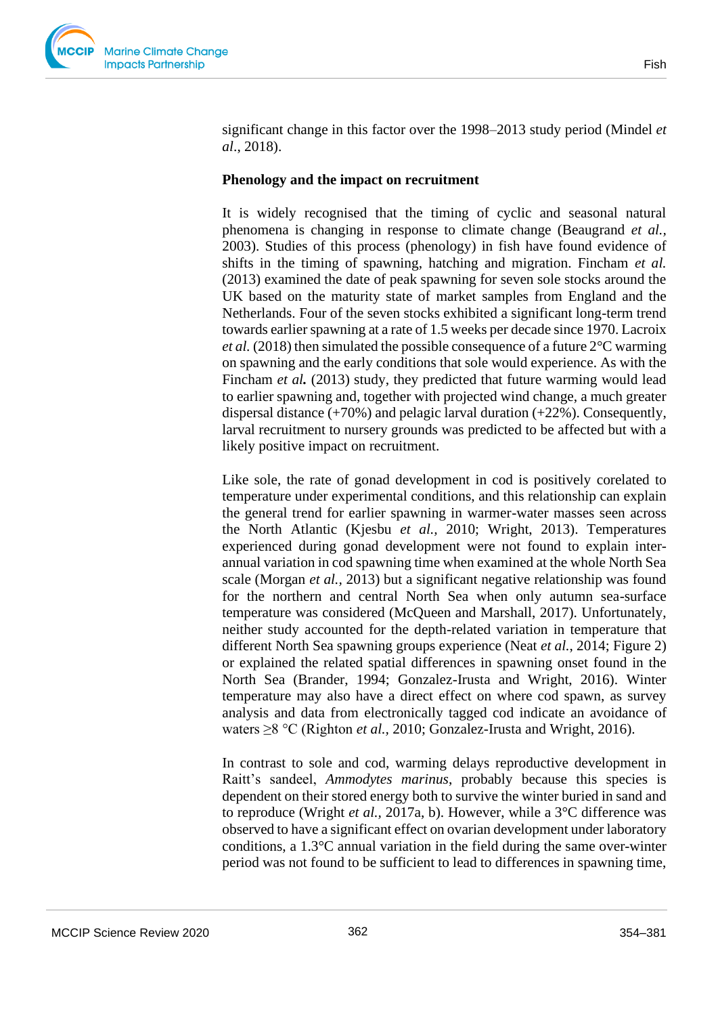

significant change in this factor over the 1998–2013 study period (Mindel *et al*., 2018).

#### **Phenology and the impact on recruitment**

It is widely recognised that the timing of cyclic and seasonal natural phenomena is changing in response to climate change (Beaugrand *et al.,* 2003). Studies of this process (phenology) in fish have found evidence of shifts in the timing of spawning, hatching and migration. Fincham *et al.* (2013) examined the date of peak spawning for seven sole stocks around the UK based on the maturity state of market samples from England and the Netherlands. Four of the seven stocks exhibited a significant long-term trend towards earlier spawning at a rate of 1.5 weeks per decade since 1970. Lacroix *et al.* (2018) then simulated the possible consequence of a future 2°C warming on spawning and the early conditions that sole would experience. As with the Fincham *et al.* (2013) study, they predicted that future warming would lead to earlier spawning and, together with projected wind change, a much greater dispersal distance (+70%) and pelagic larval duration (+22%). Consequently, larval recruitment to nursery grounds was predicted to be affected but with a likely positive impact on recruitment.

Like sole, the rate of gonad development in cod is positively corelated to temperature under experimental conditions, and this relationship can explain the general trend for earlier spawning in warmer-water masses seen across the North Atlantic (Kjesbu *et al.,* 2010; Wright, 2013). Temperatures experienced during gonad development were not found to explain interannual variation in cod spawning time when examined at the whole North Sea scale (Morgan *et al.,* 2013) but a significant negative relationship was found for the northern and central North Sea when only autumn sea-surface temperature was considered (McQueen and Marshall, 2017). Unfortunately, neither study accounted for the depth-related variation in temperature that different North Sea spawning groups experience (Neat *et al.*, 2014; Figure 2) or explained the related spatial differences in spawning onset found in the North Sea (Brander, 1994; Gonzalez-Irusta and Wright, 2016). Winter temperature may also have a direct effect on where cod spawn, as survey analysis and data from electronically tagged cod indicate an avoidance of waters ≥8 °C (Righton *et al.,* 2010; Gonzalez-Irusta and Wright, 2016).

In contrast to sole and cod, warming delays reproductive development in Raitt's sandeel, *Ammodytes marinus*, probably because this species is dependent on their stored energy both to survive the winter buried in sand and to reproduce (Wright *et al.,* 2017a, b). However, while a 3°C difference was observed to have a significant effect on ovarian development under laboratory conditions, a  $1.3^{\circ}$ C annual variation in the field during the same over-winter period was not found to be sufficient to lead to differences in spawning time,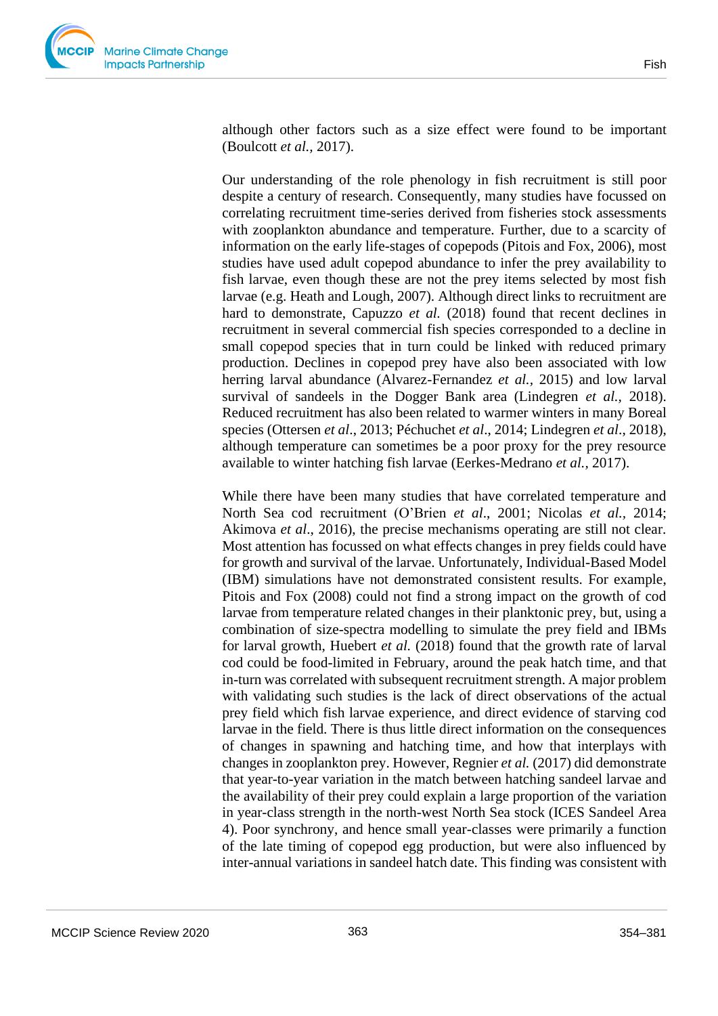although other factors such as a size effect were found to be important (Boulcott *et al.,* 2017).

Our understanding of the role phenology in fish recruitment is still poor despite a century of research. Consequently, many studies have focussed on correlating recruitment time-series derived from fisheries stock assessments with zooplankton abundance and temperature. Further, due to a scarcity of information on the early life-stages of copepods (Pitois and Fox, 2006), most studies have used adult copepod abundance to infer the prey availability to fish larvae, even though these are not the prey items selected by most fish larvae (e.g. Heath and Lough, 2007). Although direct links to recruitment are hard to demonstrate, Capuzzo *et al.* (2018) found that recent declines in recruitment in several commercial fish species corresponded to a decline in small copepod species that in turn could be linked with reduced primary production. Declines in copepod prey have also been associated with low herring larval abundance (Alvarez-Fernandez *et al.,* 2015) and low larval survival of sandeels in the Dogger Bank area (Lindegren *et al.,* 2018). Reduced recruitment has also been related to warmer winters in many Boreal species (Ottersen *et al*., 2013; Péchuchet *et al*., 2014; Lindegren *et al*., 2018), although temperature can sometimes be a poor proxy for the prey resource available to winter hatching fish larvae (Eerkes-Medrano *et al.,* 2017).

While there have been many studies that have correlated temperature and North Sea cod recruitment (O'Brien *et al*., 2001; Nicolas *et al.,* 2014; Akimova *et al*., 2016), the precise mechanisms operating are still not clear. Most attention has focussed on what effects changes in prey fields could have for growth and survival of the larvae. Unfortunately, Individual-Based Model (IBM) simulations have not demonstrated consistent results. For example, Pitois and Fox (2008) could not find a strong impact on the growth of cod larvae from temperature related changes in their planktonic prey, but, using a combination of size-spectra modelling to simulate the prey field and IBMs for larval growth, Huebert *et al.* (2018) found that the growth rate of larval cod could be food-limited in February, around the peak hatch time, and that in-turn was correlated with subsequent recruitment strength. A major problem with validating such studies is the lack of direct observations of the actual prey field which fish larvae experience, and direct evidence of starving cod larvae in the field. There is thus little direct information on the consequences of changes in spawning and hatching time, and how that interplays with changes in zooplankton prey. However, Regnier *et al.* (2017) did demonstrate that year-to-year variation in the match between hatching sandeel larvae and the availability of their prey could explain a large proportion of the variation in year-class strength in the north-west North Sea stock (ICES Sandeel Area 4). Poor synchrony, and hence small year-classes were primarily a function of the late timing of copepod egg production, but were also influenced by inter-annual variations in sandeel hatch date. This finding was consistent with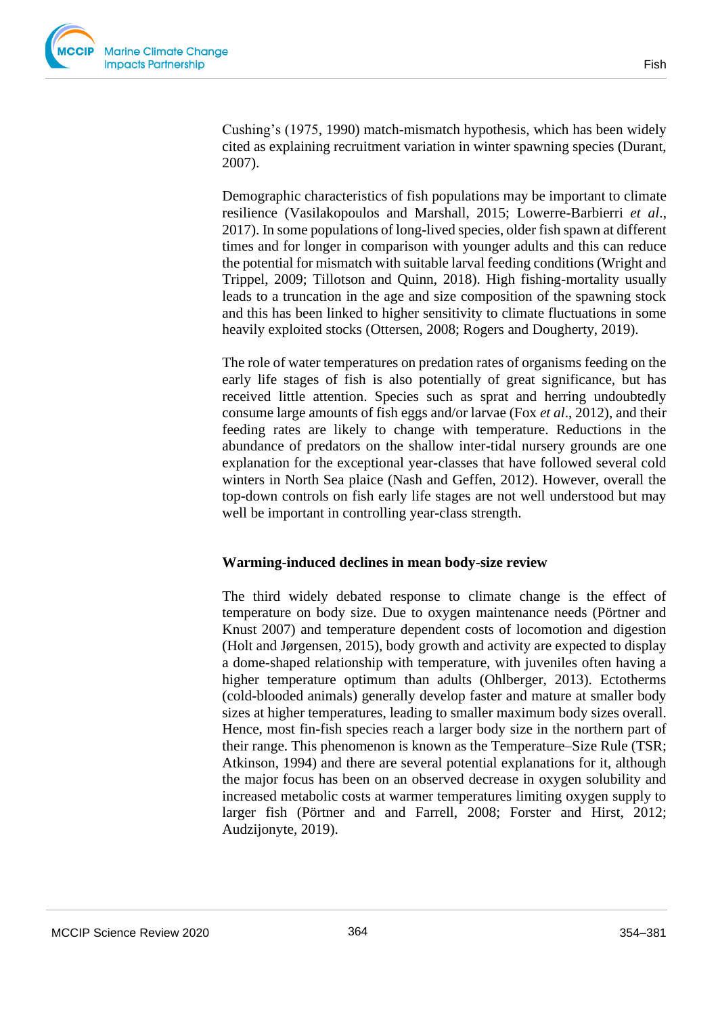Fish

Cushing's (1975, 1990) match-mismatch hypothesis, which has been widely cited as explaining recruitment variation in winter spawning species (Durant, 2007).

Demographic characteristics of fish populations may be important to climate resilience (Vasilakopoulos and Marshall, 2015; Lowerre-Barbierri *et al*., 2017). In some populations of long-lived species, older fish spawn at different times and for longer in comparison with younger adults and this can reduce the potential for mismatch with suitable larval feeding conditions (Wright and Trippel, 2009; Tillotson and Quinn, 2018). High fishing-mortality usually leads to a truncation in the age and size composition of the spawning stock and this has been linked to higher sensitivity to climate fluctuations in some heavily exploited stocks (Ottersen, 2008; Rogers and Dougherty, 2019).

The role of water temperatures on predation rates of organisms feeding on the early life stages of fish is also potentially of great significance, but has received little attention. Species such as sprat and herring undoubtedly consume large amounts of fish eggs and/or larvae (Fox *et al*., 2012), and their feeding rates are likely to change with temperature. Reductions in the abundance of predators on the shallow inter-tidal nursery grounds are one explanation for the exceptional year-classes that have followed several cold winters in North Sea plaice (Nash and Geffen, 2012). However, overall the top-down controls on fish early life stages are not well understood but may well be important in controlling year-class strength.

#### **Warming-induced declines in mean body-size review**

The third widely debated response to climate change is the effect of temperature on body size. Due to oxygen maintenance needs (Pörtner and Knust 2007) and temperature dependent costs of locomotion and digestion (Holt and Jørgensen, 2015), body growth and activity are expected to display a dome-shaped relationship with temperature, with juveniles often having a higher temperature optimum than adults (Ohlberger, 2013). Ectotherms (cold-blooded animals) generally develop faster and mature at smaller body sizes at higher temperatures, leading to smaller maximum body sizes overall. Hence, most fin-fish species reach a larger body size in the northern part of their range. This phenomenon is known as the Temperature–Size Rule (TSR; Atkinson, 1994) and there are several potential explanations for it, although the major focus has been on an observed decrease in oxygen solubility and increased metabolic costs at warmer temperatures limiting oxygen supply to larger fish (Pörtner and and Farrell, 2008; Forster and Hirst, 2012; Audzijonyte, 2019).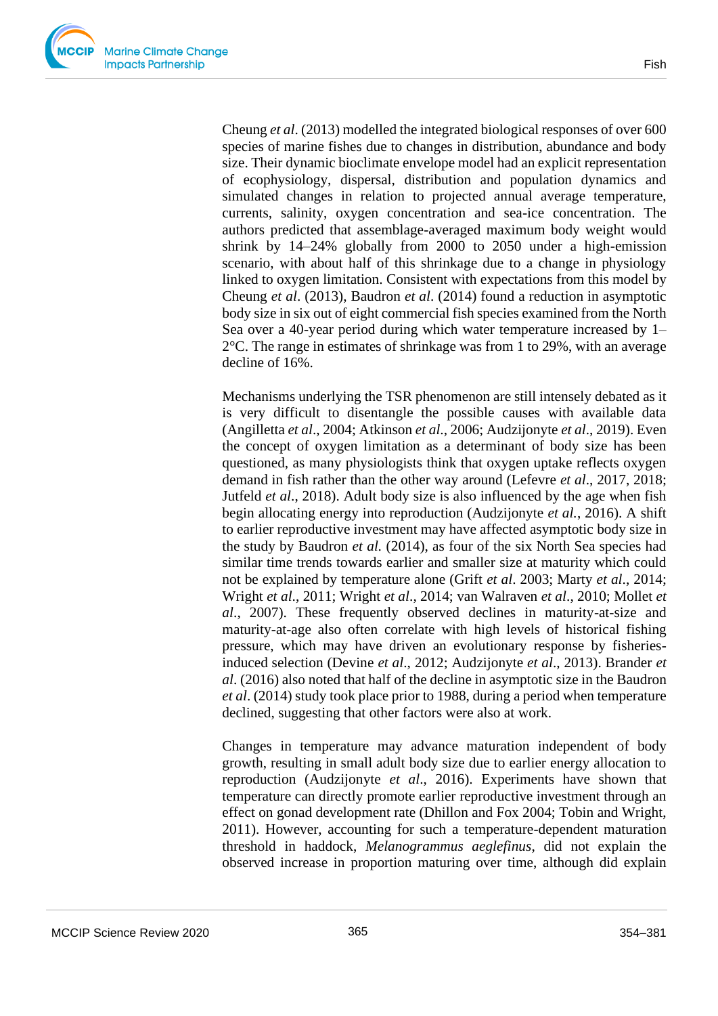Cheung *et al*. (2013) modelled the integrated biological responses of over 600 species of marine fishes due to changes in distribution, abundance and body size. Their dynamic bioclimate envelope model had an explicit representation of ecophysiology, dispersal, distribution and population dynamics and simulated changes in relation to projected annual average temperature, currents, salinity, oxygen concentration and sea-ice concentration. The authors predicted that assemblage-averaged maximum body weight would shrink by 14–24% globally from 2000 to 2050 under a high-emission scenario, with about half of this shrinkage due to a change in physiology linked to oxygen limitation. Consistent with expectations from this model by Cheung *et al*. (2013), Baudron *et al*. (2014) found a reduction in asymptotic body size in six out of eight commercial fish species examined from the North Sea over a 40-year period during which water temperature increased by 1– 2°C. The range in estimates of shrinkage was from 1 to 29%, with an average decline of 16%.

Mechanisms underlying the TSR phenomenon are still intensely debated as it is very difficult to disentangle the possible causes with available data (Angilletta *et al*., 2004; Atkinson *et al*., 2006; Audzijonyte *et al*., 2019). Even the concept of oxygen limitation as a determinant of body size has been questioned, as many physiologists think that oxygen uptake reflects oxygen demand in fish rather than the other way around (Lefevre *et al*., 2017, 2018; Jutfeld *et al*., 2018). Adult body size is also influenced by the age when fish begin allocating energy into reproduction (Audzijonyte *et al.*, 2016). A shift to earlier reproductive investment may have affected asymptotic body size in the study by Baudron *et al.* (2014), as four of the six North Sea species had similar time trends towards earlier and smaller size at maturity which could not be explained by temperature alone (Grift *et al*. 2003; Marty *et al*., 2014; Wright *et al*., 2011; Wright *et al*., 2014; van Walraven *et al*., 2010; Mollet *et al*., 2007). These frequently observed declines in maturity-at-size and maturity-at-age also often correlate with high levels of historical fishing pressure, which may have driven an evolutionary response by fisheriesinduced selection (Devine *et al*., 2012; Audzijonyte *et al*., 2013). Brander *et al*. (2016) also noted that half of the decline in asymptotic size in the Baudron *et al*. (2014) study took place prior to 1988, during a period when temperature declined, suggesting that other factors were also at work.

Changes in temperature may advance maturation independent of body growth, resulting in small adult body size due to earlier energy allocation to reproduction (Audzijonyte *et al*., 2016). Experiments have shown that temperature can directly promote earlier reproductive investment through an effect on gonad development rate (Dhillon and Fox 2004; Tobin and Wright, 2011). However, accounting for such a temperature-dependent maturation threshold in haddock, *Melanogrammus aeglefinus*, did not explain the observed increase in proportion maturing over time, although did explain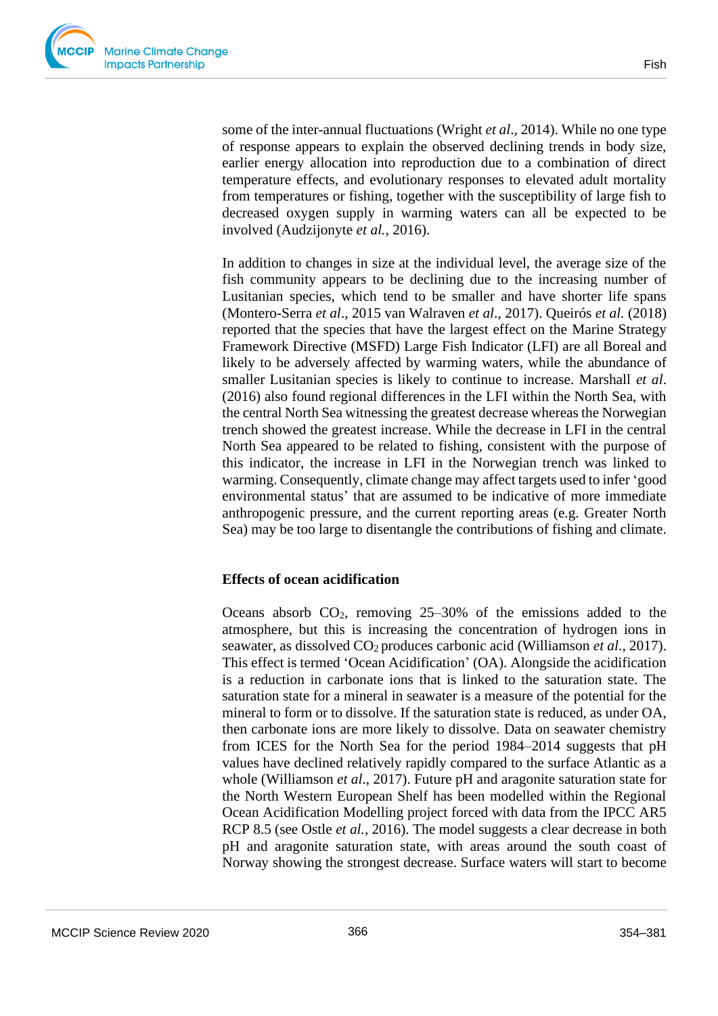

some of the inter-annual fluctuations (Wright *et al*., 2014). While no one type of response appears to explain the observed declining trends in body size, earlier energy allocation into reproduction due to a combination of direct temperature effects, and evolutionary responses to elevated adult mortality from temperatures or fishing, together with the susceptibility of large fish to decreased oxygen supply in warming waters can all be expected to be involved (Audzijonyte *et al.*, 2016).

In addition to changes in size at the individual level, the average size of the fish community appears to be declining due to the increasing number of Lusitanian species, which tend to be smaller and have shorter life spans (Montero-Serra *et al*., 2015 van Walraven *et al*., 2017). Queirós *et al.* (2018) reported that the species that have the largest effect on the Marine Strategy Framework Directive (MSFD) Large Fish Indicator (LFI) are all Boreal and likely to be adversely affected by warming waters, while the abundance of smaller Lusitanian species is likely to continue to increase. Marshall *et al*. (2016) also found regional differences in the LFI within the North Sea, with the central North Sea witnessing the greatest decrease whereas the Norwegian trench showed the greatest increase. While the decrease in LFI in the central North Sea appeared to be related to fishing, consistent with the purpose of this indicator, the increase in LFI in the Norwegian trench was linked to warming. Consequently, climate change may affect targets used to infer 'good environmental status' that are assumed to be indicative of more immediate anthropogenic pressure, and the current reporting areas (e.g. Greater North Sea) may be too large to disentangle the contributions of fishing and climate.

#### **Effects of ocean acidification**

Oceans absorb  $CO<sub>2</sub>$ , removing  $25-30%$  of the emissions added to the atmosphere, but this is increasing the concentration of hydrogen ions in seawater, as dissolved CO2 produces carbonic acid (Williamson *et al*., 2017). This effect is termed 'Ocean Acidification' (OA). Alongside the acidification is a reduction in carbonate ions that is linked to the saturation state. The saturation state for a mineral in seawater is a measure of the potential for the mineral to form or to dissolve. If the saturation state is reduced, as under OA, then carbonate ions are more likely to dissolve. Data on seawater chemistry from ICES for the North Sea for the period 1984–2014 suggests that pH values have declined relatively rapidly compared to the surface Atlantic as a whole (Williamson *et al*., 2017). Future pH and aragonite saturation state for the North Western European Shelf has been modelled within the Regional Ocean Acidification Modelling project forced with data from the IPCC AR5 RCP 8.5 (see Ostle *et al.*, 2016). The model suggests a clear decrease in both pH and aragonite saturation state, with areas around the south coast of Norway showing the strongest decrease. Surface waters will start to become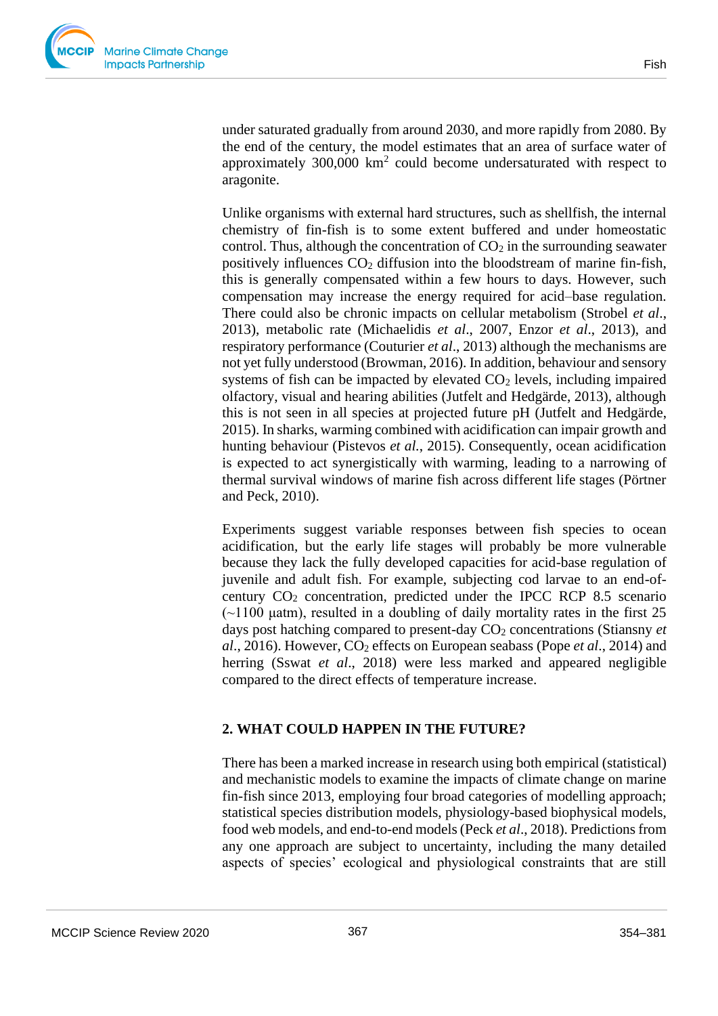under saturated gradually from around 2030, and more rapidly from 2080. By the end of the century, the model estimates that an area of surface water of approximately  $300,000 \text{ km}^2$  could become undersaturated with respect to aragonite.

Unlike organisms with external hard structures, such as shellfish, the internal chemistry of fin-fish is to some extent buffered and under homeostatic control. Thus, although the concentration of  $CO<sub>2</sub>$  in the surrounding seawater positively influences  $CO<sub>2</sub>$  diffusion into the bloodstream of marine fin-fish, this is generally compensated within a few hours to days. However, such compensation may increase the energy required for acid–base regulation. There could also be chronic impacts on cellular metabolism (Strobel *et al*., 2013), metabolic rate (Michaelidis *et al*., 2007, Enzor *et al*., 2013), and respiratory performance (Couturier *et al*., 2013) although the mechanisms are not yet fully understood (Browman, 2016). In addition, behaviour and sensory systems of fish can be impacted by elevated  $CO<sub>2</sub>$  levels, including impaired olfactory, visual and hearing abilities (Jutfelt and Hedgärde, 2013), although this is not seen in all species at projected future pH (Jutfelt and Hedgärde, 2015). In sharks, warming combined with acidification can impair growth and hunting behaviour (Pistevos *et al.*, 2015). Consequently, ocean acidification is expected to act synergistically with warming, leading to a narrowing of thermal survival windows of marine fish across different life stages (Pörtner and Peck, 2010).

Experiments suggest variable responses between fish species to ocean acidification, but the early life stages will probably be more vulnerable because they lack the fully developed capacities for acid-base regulation of juvenile and adult fish. For example, subjecting cod larvae to an end-ofcentury  $CO<sub>2</sub>$  concentration, predicted under the IPCC RCP 8.5 scenario  $(\sim 1100 \mu$  uatm), resulted in a doubling of daily mortality rates in the first 25 days post hatching compared to present-day  $CO<sub>2</sub>$  concentrations (Stiansny *et al.*, 2016). However, CO<sub>2</sub> effects on European seabass (Pope *et al.*, 2014) and herring (Sswat *et al*., 2018) were less marked and appeared negligible compared to the direct effects of temperature increase.

#### **2. WHAT COULD HAPPEN IN THE FUTURE?**

There has been a marked increase in research using both empirical (statistical) and mechanistic models to examine the impacts of climate change on marine fin-fish since 2013, employing four broad categories of modelling approach; statistical species distribution models, physiology-based biophysical models, food web models, and end-to-end models (Peck *et al*., 2018). Predictions from any one approach are subject to uncertainty, including the many detailed aspects of species' ecological and physiological constraints that are still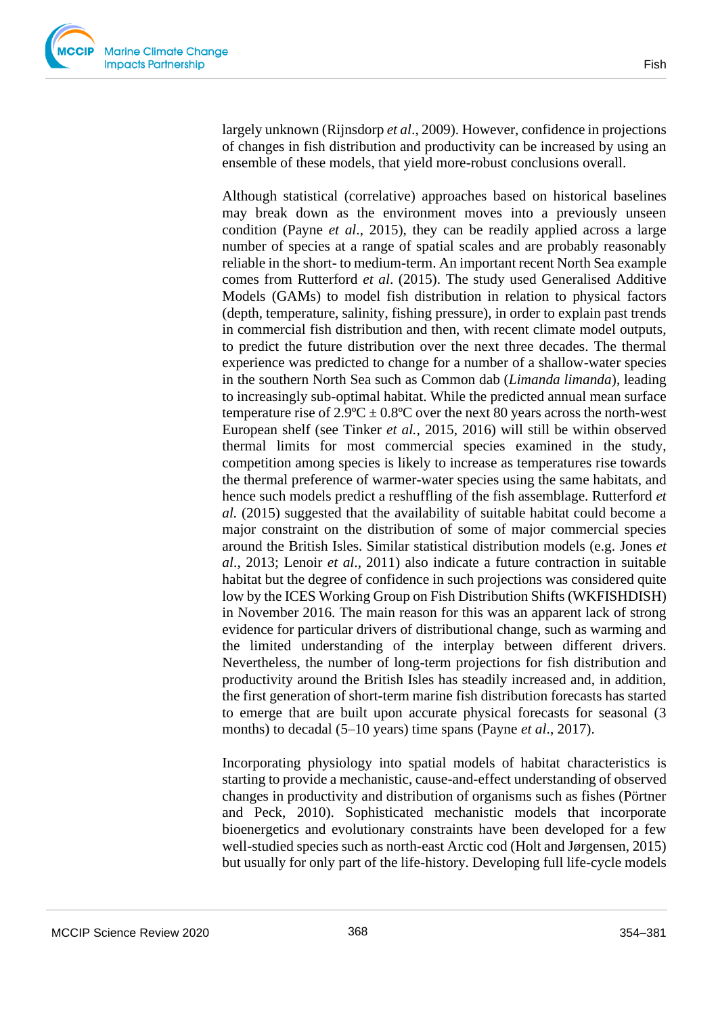largely unknown (Rijnsdorp *et al*., 2009). However, confidence in projections of changes in fish distribution and productivity can be increased by using an ensemble of these models, that yield more-robust conclusions overall.

Although statistical (correlative) approaches based on historical baselines may break down as the environment moves into a previously unseen condition (Payne *et al*., 2015), they can be readily applied across a large number of species at a range of spatial scales and are probably reasonably reliable in the short- to medium-term. An important recent North Sea example comes from Rutterford *et al*. (2015). The study used Generalised Additive Models (GAMs) to model fish distribution in relation to physical factors (depth, temperature, salinity, fishing pressure), in order to explain past trends in commercial fish distribution and then, with recent climate model outputs, to predict the future distribution over the next three decades. The thermal experience was predicted to change for a number of a shallow-water species in the southern North Sea such as Common dab (*Limanda limanda*), leading to increasingly sub-optimal habitat. While the predicted annual mean surface temperature rise of  $2.9^{\circ}\text{C} \pm 0.8^{\circ}\text{C}$  over the next 80 years across the north-west European shelf (see Tinker *et al.,* 2015, 2016) will still be within observed thermal limits for most commercial species examined in the study, competition among species is likely to increase as temperatures rise towards the thermal preference of warmer-water species using the same habitats, and hence such models predict a reshuffling of the fish assemblage. Rutterford *et al.* (2015) suggested that the availability of suitable habitat could become a major constraint on the distribution of some of major commercial species around the British Isles. Similar statistical distribution models (e.g. Jones *et al*., 2013; Lenoir *et al*., 2011) also indicate a future contraction in suitable habitat but the degree of confidence in such projections was considered quite low by the ICES Working Group on Fish Distribution Shifts (WKFISHDISH) in November 2016. The main reason for this was an apparent lack of strong evidence for particular drivers of distributional change, such as warming and the limited understanding of the interplay between different drivers. Nevertheless, the number of long-term projections for fish distribution and productivity around the British Isles has steadily increased and, in addition, the first generation of short-term marine fish distribution forecasts has started to emerge that are built upon accurate physical forecasts for seasonal (3 months) to decadal (5–10 years) time spans (Payne *et al*., 2017).

Incorporating physiology into spatial models of habitat characteristics is starting to provide a mechanistic, cause-and-effect understanding of observed changes in productivity and distribution of organisms such as fishes (Pörtner and Peck, 2010). Sophisticated mechanistic models that incorporate bioenergetics and evolutionary constraints have been developed for a few well-studied species such as north-east Arctic cod (Holt and Jørgensen, 2015) but usually for only part of the life-history. Developing full life-cycle models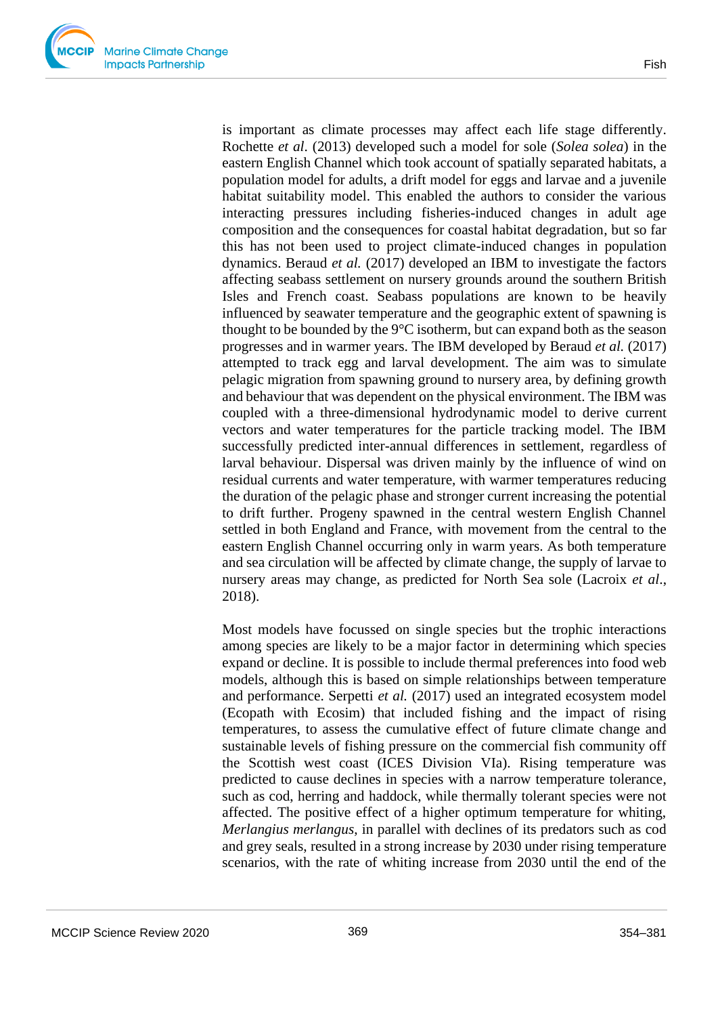is important as climate processes may affect each life stage differently. Rochette *et al*. (2013) developed such a model for sole (*Solea solea*) in the eastern English Channel which took account of spatially separated habitats, a population model for adults, a drift model for eggs and larvae and a juvenile habitat suitability model. This enabled the authors to consider the various interacting pressures including fisheries-induced changes in adult age composition and the consequences for coastal habitat degradation, but so far this has not been used to project climate-induced changes in population dynamics. Beraud *et al.* (2017) developed an IBM to investigate the factors affecting seabass settlement on nursery grounds around the southern British Isles and French coast. Seabass populations are known to be heavily influenced by seawater temperature and the geographic extent of spawning is thought to be bounded by the  $9^{\circ}$ C isotherm, but can expand both as the season progresses and in warmer years. The IBM developed by Beraud *et al.* (2017) attempted to track egg and larval development. The aim was to simulate pelagic migration from spawning ground to nursery area, by defining growth and behaviour that was dependent on the physical environment. The IBM was coupled with a three-dimensional hydrodynamic model to derive current vectors and water temperatures for the particle tracking model. The IBM successfully predicted inter-annual differences in settlement, regardless of larval behaviour. Dispersal was driven mainly by the influence of wind on residual currents and water temperature, with warmer temperatures reducing the duration of the pelagic phase and stronger current increasing the potential to drift further. Progeny spawned in the central western English Channel settled in both England and France, with movement from the central to the eastern English Channel occurring only in warm years. As both temperature and sea circulation will be affected by climate change, the supply of larvae to nursery areas may change, as predicted for North Sea sole (Lacroix *et al*., 2018).

Most models have focussed on single species but the trophic interactions among species are likely to be a major factor in determining which species expand or decline. It is possible to include thermal preferences into food web models, although this is based on simple relationships between temperature and performance. Serpetti *et al.* (2017) used an integrated ecosystem model (Ecopath with Ecosim) that included fishing and the impact of rising temperatures, to assess the cumulative effect of future climate change and sustainable levels of fishing pressure on the commercial fish community off the Scottish west coast (ICES Division VIa). Rising temperature was predicted to cause declines in species with a narrow temperature tolerance, such as cod, herring and haddock, while thermally tolerant species were not affected. The positive effect of a higher optimum temperature for whiting, *Merlangius merlangus*, in parallel with declines of its predators such as cod and grey seals, resulted in a strong increase by 2030 under rising temperature scenarios, with the rate of whiting increase from 2030 until the end of the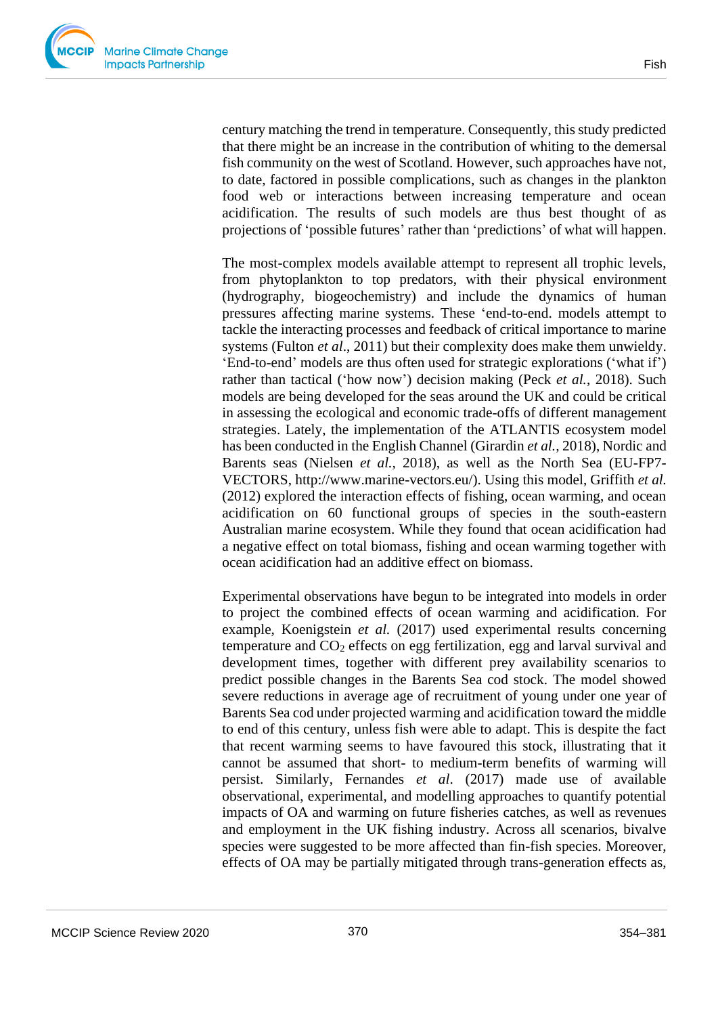

century matching the trend in temperature. Consequently, this study predicted that there might be an increase in the contribution of whiting to the demersal fish community on the west of Scotland. However, such approaches have not, to date, factored in possible complications, such as changes in the plankton food web or interactions between increasing temperature and ocean acidification. The results of such models are thus best thought of as projections of 'possible futures' rather than 'predictions' of what will happen.

The most-complex models available attempt to represent all trophic levels, from phytoplankton to top predators, with their physical environment (hydrography, biogeochemistry) and include the dynamics of human pressures affecting marine systems. These 'end-to-end. models attempt to tackle the interacting processes and feedback of critical importance to marine systems (Fulton *et al*., 2011) but their complexity does make them unwieldy. 'End-to-end' models are thus often used for strategic explorations ('what if') rather than tactical ('how now') decision making (Peck *et al.*, 2018). Such models are being developed for the seas around the UK and could be critical in assessing the ecological and economic trade-offs of different management strategies. Lately, the implementation of the ATLANTIS ecosystem model has been conducted in the English Channel (Girardin *et al.,* 2018), Nordic and Barents seas (Nielsen *et al.,* 2018), as well as the North Sea (EU-FP7- VECTORS, http://www.marine-vectors.eu/). Using this model, Griffith *et al.* (2012) explored the interaction effects of fishing, ocean warming, and ocean acidification on 60 functional groups of species in the south-eastern Australian marine ecosystem. While they found that ocean acidification had a negative effect on total biomass, fishing and ocean warming together with ocean acidification had an additive effect on biomass.

Experimental observations have begun to be integrated into models in order to project the combined effects of ocean warming and acidification. For example, Koenigstein *et al.* (2017) used experimental results concerning temperature and CO<sup>2</sup> effects on egg fertilization, egg and larval survival and development times, together with different prey availability scenarios to predict possible changes in the Barents Sea cod stock. The model showed severe reductions in average age of recruitment of young under one year of Barents Sea cod under projected warming and acidification toward the middle to end of this century, unless fish were able to adapt. This is despite the fact that recent warming seems to have favoured this stock, illustrating that it cannot be assumed that short- to medium-term benefits of warming will persist. Similarly, Fernandes *et al*. (2017) made use of available observational, experimental, and modelling approaches to quantify potential impacts of OA and warming on future fisheries catches, as well as revenues and employment in the UK fishing industry. Across all scenarios, bivalve species were suggested to be more affected than fin-fish species. Moreover, effects of OA may be partially mitigated through trans-generation effects as,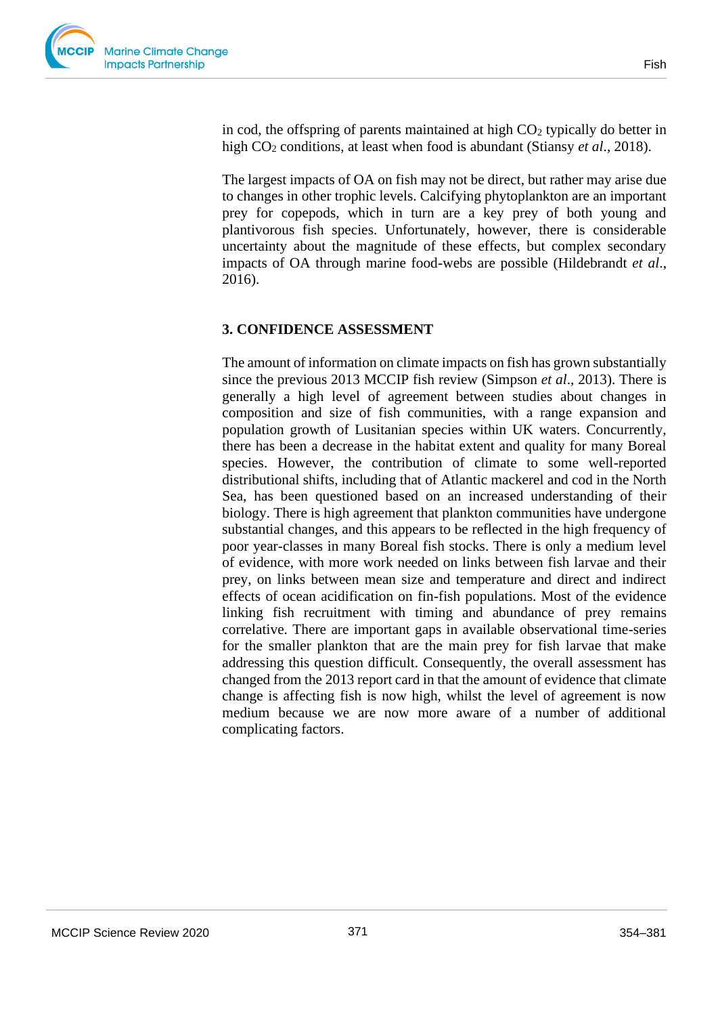in cod, the offspring of parents maintained at high  $CO<sub>2</sub>$  typically do better in high CO<sup>2</sup> conditions, at least when food is abundant (Stiansy *et al*., 2018).

The largest impacts of OA on fish may not be direct, but rather may arise due to changes in other trophic levels. Calcifying phytoplankton are an important prey for copepods, which in turn are a key prey of both young and plantivorous fish species. Unfortunately, however, there is considerable uncertainty about the magnitude of these effects, but complex secondary impacts of OA through marine food-webs are possible (Hildebrandt *et al*., 2016).

#### **3. CONFIDENCE ASSESSMENT**

The amount of information on climate impacts on fish has grown substantially since the previous 2013 MCCIP fish review (Simpson *et al*., 2013). There is generally a high level of agreement between studies about changes in composition and size of fish communities, with a range expansion and population growth of Lusitanian species within UK waters. Concurrently, there has been a decrease in the habitat extent and quality for many Boreal species. However, the contribution of climate to some well-reported distributional shifts, including that of Atlantic mackerel and cod in the North Sea, has been questioned based on an increased understanding of their biology. There is high agreement that plankton communities have undergone substantial changes, and this appears to be reflected in the high frequency of poor year-classes in many Boreal fish stocks. There is only a medium level of evidence, with more work needed on links between fish larvae and their prey, on links between mean size and temperature and direct and indirect effects of ocean acidification on fin-fish populations. Most of the evidence linking fish recruitment with timing and abundance of prey remains correlative. There are important gaps in available observational time-series for the smaller plankton that are the main prey for fish larvae that make addressing this question difficult. Consequently, the overall assessment has changed from the 2013 report card in that the amount of evidence that climate change is affecting fish is now high, whilst the level of agreement is now medium because we are now more aware of a number of additional complicating factors.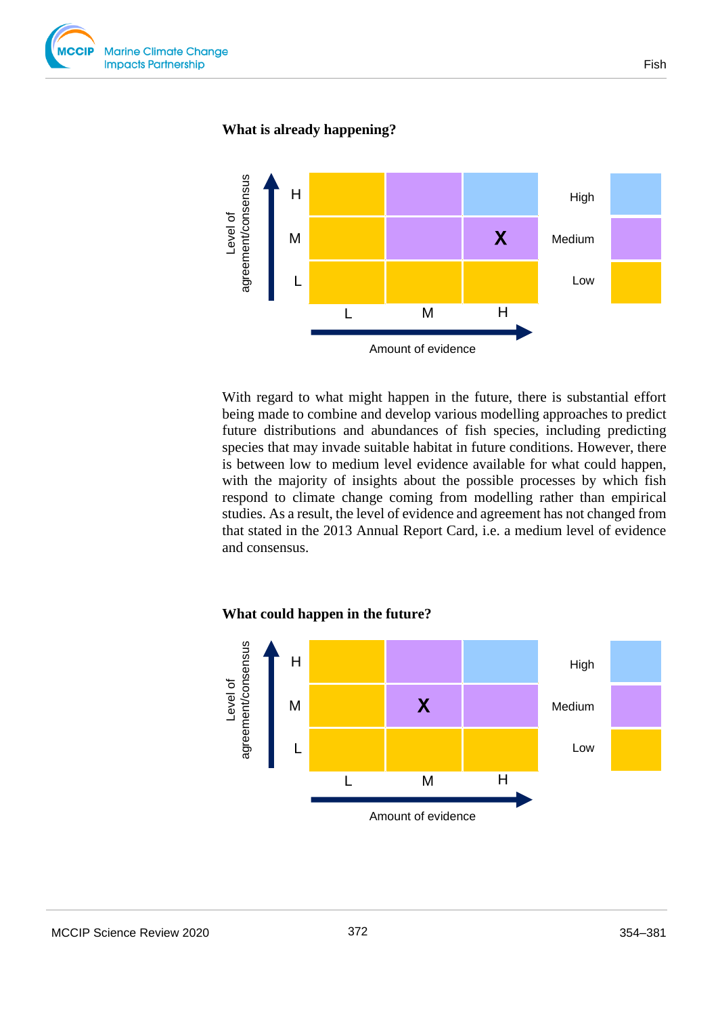

#### **What is already happening?**



With regard to what might happen in the future, there is substantial effort being made to combine and develop various modelling approaches to predict future distributions and abundances of fish species, including predicting species that may invade suitable habitat in future conditions. However, there is between low to medium level evidence available for what could happen, with the majority of insights about the possible processes by which fish respond to climate change coming from modelling rather than empirical studies. As a result, the level of evidence and agreement has not changed from that stated in the 2013 Annual Report Card, i.e. a medium level of evidence and consensus.

#### **What could happen in the future?**

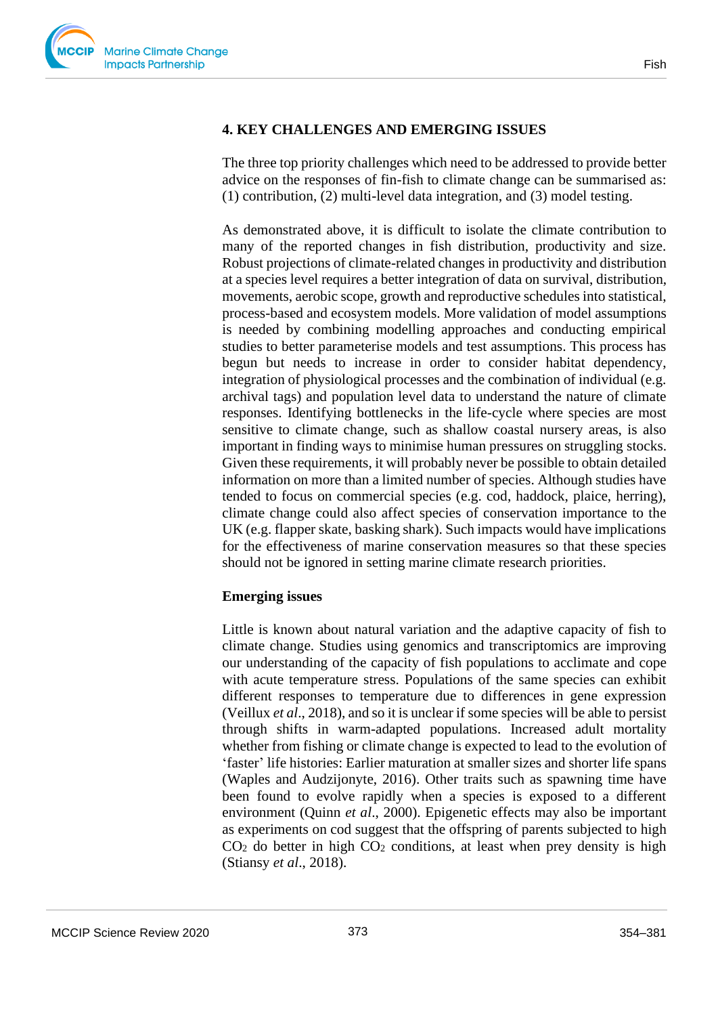# **4. KEY CHALLENGES AND EMERGING ISSUES**

The three top priority challenges which need to be addressed to provide better advice on the responses of fin-fish to climate change can be summarised as: (1) contribution, (2) multi-level data integration, and (3) model testing.

As demonstrated above, it is difficult to isolate the climate contribution to many of the reported changes in fish distribution, productivity and size. Robust projections of climate-related changes in productivity and distribution at a species level requires a better integration of data on survival, distribution, movements, aerobic scope, growth and reproductive schedules into statistical, process-based and ecosystem models. More validation of model assumptions is needed by combining modelling approaches and conducting empirical studies to better parameterise models and test assumptions. This process has begun but needs to increase in order to consider habitat dependency, integration of physiological processes and the combination of individual (e.g. archival tags) and population level data to understand the nature of climate responses. Identifying bottlenecks in the life-cycle where species are most sensitive to climate change, such as shallow coastal nursery areas, is also important in finding ways to minimise human pressures on struggling stocks. Given these requirements, it will probably never be possible to obtain detailed information on more than a limited number of species. Although studies have tended to focus on commercial species (e.g. cod, haddock, plaice, herring), climate change could also affect species of conservation importance to the UK (e.g. flapper skate, basking shark). Such impacts would have implications for the effectiveness of marine conservation measures so that these species should not be ignored in setting marine climate research priorities.

#### **Emerging issues**

Little is known about natural variation and the adaptive capacity of fish to climate change. Studies using genomics and transcriptomics are improving our understanding of the capacity of fish populations to acclimate and cope with acute temperature stress. Populations of the same species can exhibit different responses to temperature due to differences in gene expression (Veillux *et al*., 2018), and so it is unclear if some species will be able to persist through shifts in warm-adapted populations. Increased adult mortality whether from fishing or climate change is expected to lead to the evolution of 'faster' life histories: Earlier maturation at smaller sizes and shorter life spans (Waples and Audzijonyte, 2016). Other traits such as spawning time have been found to evolve rapidly when a species is exposed to a different environment (Quinn *et al*., 2000). Epigenetic effects may also be important as experiments on cod suggest that the offspring of parents subjected to high  $CO<sub>2</sub>$  do better in high  $CO<sub>2</sub>$  conditions, at least when prey density is high (Stiansy *et al*., 2018).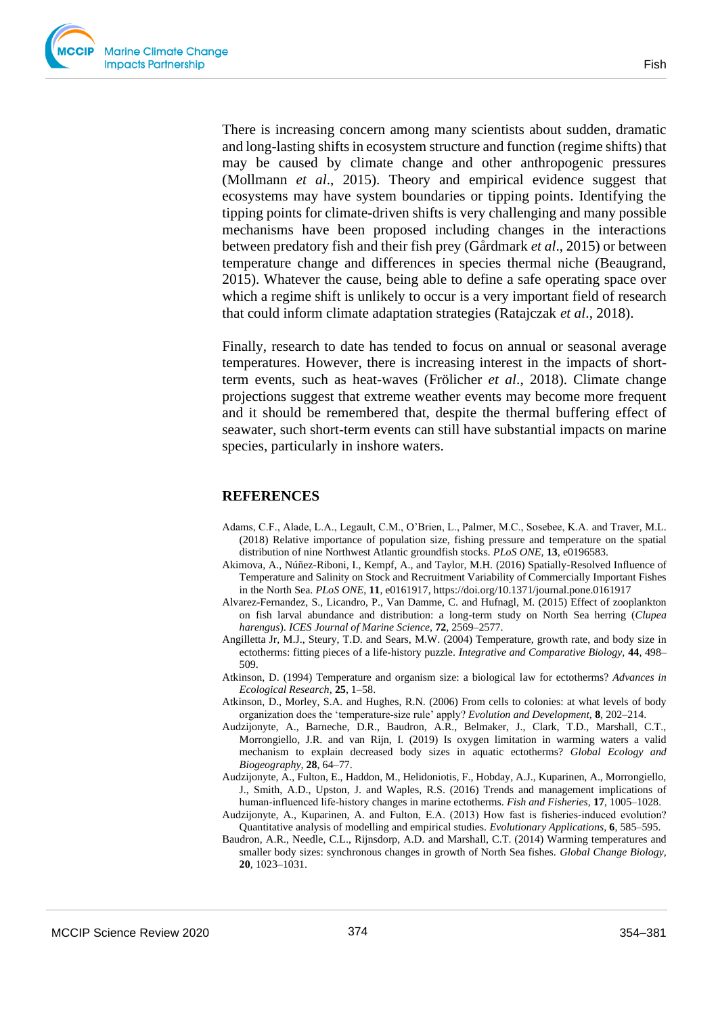There is increasing concern among many scientists about sudden, dramatic and long-lasting shifts in ecosystem structure and function (regime shifts) that may be caused by climate change and other anthropogenic pressures (Mollmann *et al*., 2015). Theory and empirical evidence suggest that ecosystems may have system boundaries or tipping points. Identifying the tipping points for climate-driven shifts is very challenging and many possible mechanisms have been proposed including changes in the interactions between predatory fish and their fish prey (Gårdmark *et al*., 2015) or between temperature change and differences in species thermal niche (Beaugrand, 2015). Whatever the cause, being able to define a safe operating space over which a regime shift is unlikely to occur is a very important field of research that could inform climate adaptation strategies (Ratajczak *et al*., 2018).

Finally, research to date has tended to focus on annual or seasonal average temperatures. However, there is increasing interest in the impacts of shortterm events, such as heat-waves (Frölicher *et al*., 2018). Climate change projections suggest that extreme weather events may become more frequent and it should be remembered that, despite the thermal buffering effect of seawater, such short-term events can still have substantial impacts on marine species, particularly in inshore waters.

#### **REFERENCES**

- Adams, C.F., Alade, L.A., Legault, C.M., O'Brien, L., Palmer, M.C., Sosebee, K.A. and Traver, M.L. (2018) Relative importance of population size, fishing pressure and temperature on the spatial distribution of nine Northwest Atlantic groundfish stocks. *PLoS ONE,* **13**, e0196583.
- Akimova, A., Núñez-Riboni, I., Kempf, A., and Taylor, M.H. (2016) Spatially-Resolved Influence of Temperature and Salinity on Stock and Recruitment Variability of Commercially Important Fishes in the North Sea. *PLoS ONE*, **11**, e0161917, https://doi.org/10.1371/journal.pone.0161917
- Alvarez-Fernandez, S., Licandro, P., Van Damme, C. and Hufnagl, M. (2015) Effect of zooplankton on fish larval abundance and distribution: a long-term study on North Sea herring (*Clupea harengus*). *ICES Journal of Marine Science,* **72**, 2569–2577.
- Angilletta Jr, M.J., Steury, T.D. and Sears, M.W. (2004) Temperature, growth rate, and body size in ectotherms: fitting pieces of a life-history puzzle. *Integrative and Comparative Biology,* **44**, 498– 509.
- Atkinson, D. (1994) Temperature and organism size: a biological law for ectotherms? *Advances in Ecological Research,* **25**, 1–58.
- Atkinson, D., Morley, S.A. and Hughes, R.N. (2006) From cells to colonies: at what levels of body organization does the 'temperature‐size rule' apply? *Evolution and Development,* **8**, 202–214.
- Audzijonyte, A., Barneche, D.R., Baudron, A.R., Belmaker, J., Clark, T.D., Marshall, C.T., Morrongiello, J.R. and van Rijn, I. (2019) Is oxygen limitation in warming waters a valid mechanism to explain decreased body sizes in aquatic ectotherms? *Global Ecology and Biogeography,* **28**, 64–77.
- Audzijonyte, A., Fulton, E., Haddon, M., Helidoniotis, F., Hobday, A.J., Kuparinen, A., Morrongiello, J., Smith, A.D., Upston, J. and Waples, R.S. (2016) Trends and management implications of human‐influenced life‐history changes in marine ectotherms. *Fish and Fisheries,* **17**, 1005–1028.
- Audzijonyte, A., Kuparinen, A. and Fulton, E.A. (2013) How fast is fisheries‐induced evolution? Quantitative analysis of modelling and empirical studies. *Evolutionary Applications,* **6**, 585–595.
- Baudron, A.R., Needle, C.L., Rijnsdorp, A.D. and Marshall, C.T. (2014) Warming temperatures and smaller body sizes: synchronous changes in growth of North Sea fishes. *Global Change Biology,* **20**, 1023–1031.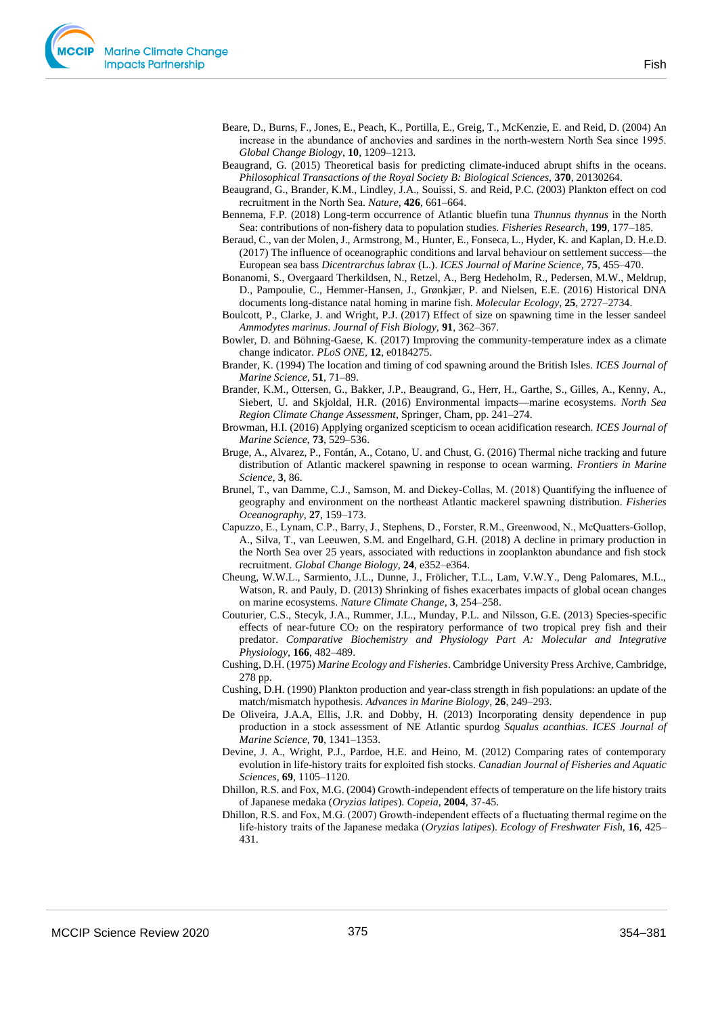

- Beare, D., Burns, F., Jones, E., Peach, K., Portilla, E., Greig, T., McKenzie, E. and Reid, D. (2004) An increase in the abundance of anchovies and sardines in the north-western North Sea since 1995. *Global Change Biology,* **10**, 1209–1213.
- Beaugrand, G. (2015) Theoretical basis for predicting climate-induced abrupt shifts in the oceans. *Philosophical Transactions of the Royal Society B: Biological Sciences,* **370**, 20130264.
- Beaugrand, G., Brander, K.M., Lindley, J.A., Souissi, S. and Reid, P.C. (2003) Plankton effect on cod recruitment in the North Sea. *Nature,* **426**, 661–664.
- Bennema, F.P. (2018) Long-term occurrence of Atlantic bluefin tuna *Thunnus thynnus* in the North Sea: contributions of non-fishery data to population studies. *Fisheries Research,* **199**, 177–185.
- Beraud, C., van der Molen, J., Armstrong, M., Hunter, E., Fonseca, L., Hyder, K. and Kaplan, D. H.e.D. (2017) The influence of oceanographic conditions and larval behaviour on settlement success—the European sea bass *Dicentrarchus labrax* (L.). *ICES Journal of Marine Science,* **75**, 455–470.
- Bonanomi, S., Overgaard Therkildsen, N., Retzel, A., Berg Hedeholm, R., Pedersen, M.W., Meldrup, D., Pampoulie, C., Hemmer-Hansen, J., Grønkjær, P. and Nielsen, E.E. (2016) Historical DNA documents long-distance natal homing in marine fish. *Molecular Ecology,* **25**, 2727–2734.
- Boulcott, P., Clarke, J. and Wright, P.J. (2017) Effect of size on spawning time in the lesser sandeel *Ammodytes marinus*. *Journal of Fish Biology,* **91**, 362–367.
- Bowler, D. and Böhning-Gaese, K. (2017) Improving the community-temperature index as a climate change indicator. *PLoS ONE,* **12**, e0184275.
- Brander, K. (1994) The location and timing of cod spawning around the British Isles. *ICES Journal of Marine Science,* **51**, 71–89.
- Brander, K.M., Ottersen, G., Bakker, J.P., Beaugrand, G., Herr, H., Garthe, S., Gilles, A., Kenny, A., Siebert, U. and Skjoldal, H.R. (2016) Environmental impacts—marine ecosystems. *North Sea Region Climate Change Assessment*, Springer, Cham, pp. 241–274.
- Browman, H.I. (2016) Applying organized scepticism to ocean acidification research. *ICES Journal of Marine Science*, **73**, 529–536.
- Bruge, A., Alvarez, P., Fontán, A., Cotano, U. and Chust, G. (2016) Thermal niche tracking and future distribution of Atlantic mackerel spawning in response to ocean warming. *Frontiers in Marine Science,* **3**, 86.
- Brunel, T., van Damme, C.J., Samson, M. and Dickey‐Collas, M. (2018) Quantifying the influence of geography and environment on the northeast Atlantic mackerel spawning distribution. *Fisheries Oceanography,* **27**, 159–173.
- Capuzzo, E., Lynam, C.P., Barry, J., Stephens, D., Forster, R.M., Greenwood, N., McQuatters‐Gollop, A., Silva, T., van Leeuwen, S.M. and Engelhard, G.H. (2018) A decline in primary production in the North Sea over 25 years, associated with reductions in zooplankton abundance and fish stock recruitment. *Global Change Biology,* **24**, e352–e364.
- Cheung, W.W.L., Sarmiento, J.L., Dunne, J., Frölicher, T.L., Lam, V.W.Y., Deng Palomares, M.L., Watson, R. and Pauly, D. (2013) Shrinking of fishes exacerbates impacts of global ocean changes on marine ecosystems. *Nature Climate Change,* **3**, 254–258.
- Couturier, C.S., Stecyk, J.A., Rummer, J.L., Munday, P.L. and Nilsson, G.E. (2013) Species-specific effects of near-future CO<sup>2</sup> on the respiratory performance of two tropical prey fish and their predator. *Comparative Biochemistry and Physiology Part A: Molecular and Integrative Physiology,* **166**, 482–489.
- Cushing, D.H. (1975) *Marine Ecology and Fisheries*. Cambridge University Press Archive, Cambridge, 278 pp.
- Cushing, D.H. (1990) Plankton production and year-class strength in fish populations: an update of the match/mismatch hypothesis. *Advances in Marine Biology*, **26**, 249–293.
- De Oliveira, J.A.A, Ellis, J.R. and Dobby, H. (2013) Incorporating density dependence in pup production in a stock assessment of NE Atlantic spurdog *Squalus acanthias*. *ICES Journal of Marine Science,* **70**, 1341–1353.
- Devine, J. A., Wright, P.J., Pardoe, H.E. and Heino, M. (2012) Comparing rates of contemporary evolution in life-history traits for exploited fish stocks. *Canadian Journal of Fisheries and Aquatic Sciences,* **69**, 1105–1120.
- Dhillon, R.S. and Fox, M.G. (2004) Growth-independent effects of temperature on the life history traits of Japanese medaka (*Oryzias latipes*). *Copeia*, **2004**, 37-45.
- Dhillon, R.S. and Fox, M.G. (2007) Growth‐independent effects of a fluctuating thermal regime on the life‐history traits of the Japanese medaka (*Oryzias latipes*). *Ecology of Freshwater Fish,* **16**, 425– 431.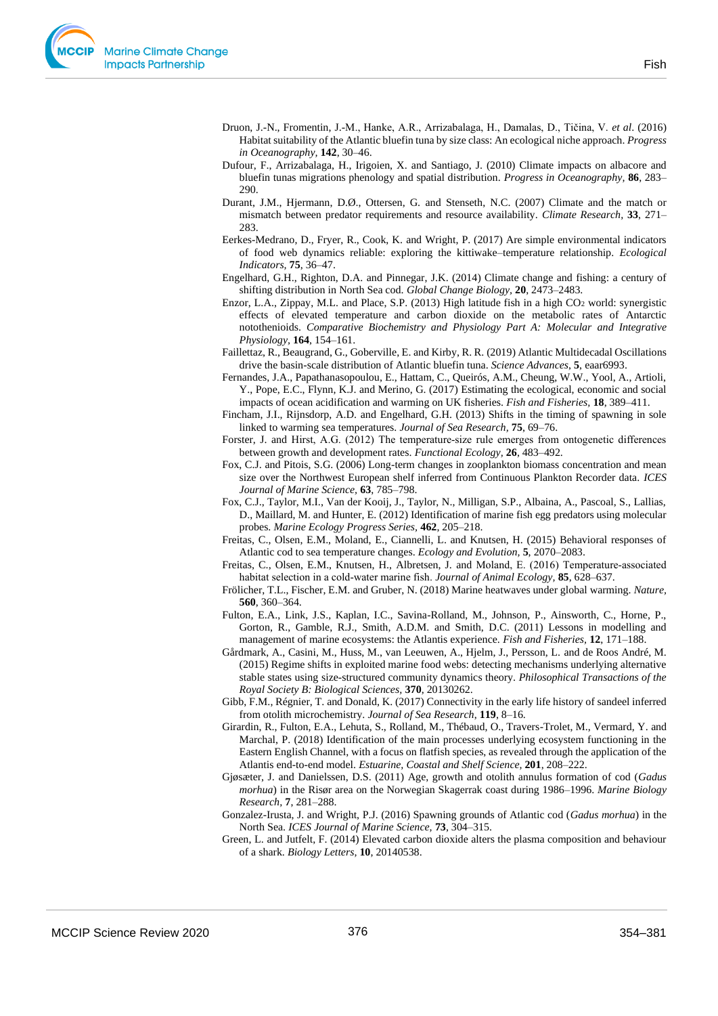

- Druon, J.-N., Fromentin, J.-M., Hanke, A.R., Arrizabalaga, H., Damalas, D., Tičina, V. *et al*. (2016) Habitat suitability of the Atlantic bluefin tuna by size class: An ecological niche approach. *Progress in Oceanography,* **142**, 30–46.
- Dufour, F., Arrizabalaga, H., Irigoien, X. and Santiago, J. (2010) Climate impacts on albacore and bluefin tunas migrations phenology and spatial distribution. *Progress in Oceanography,* **86**, 283– 290.
- Durant, J.M., Hjermann, D.Ø., Ottersen, G. and Stenseth, N.C. (2007) Climate and the match or mismatch between predator requirements and resource availability. *Climate Research,* **33**, 271– 283.
- Eerkes-Medrano, D., Fryer, R., Cook, K. and Wright, P. (2017) Are simple environmental indicators of food web dynamics reliable: exploring the kittiwake–temperature relationship. *Ecological Indicators,* **75**, 36–47.
- Engelhard, G.H., Righton, D.A. and Pinnegar, J.K. (2014) Climate change and fishing: a century of shifting distribution in North Sea cod. *Global Change Biology,* **20**, 2473–2483.
- Enzor, L.A., Zippay, M.L. and Place, S.P. (2013) High latitude fish in a high CO<sup>2</sup> world: synergistic effects of elevated temperature and carbon dioxide on the metabolic rates of Antarctic notothenioids. *Comparative Biochemistry and Physiology Part A: Molecular and Integrative Physiology,* **164**, 154–161.
- Faillettaz, R., Beaugrand, G., Goberville, E. and Kirby, R. R. (2019) Atlantic Multidecadal Oscillations drive the basin-scale distribution of Atlantic bluefin tuna. *Science Advances*, **5**, eaar6993.
- Fernandes, J.A., Papathanasopoulou, E., Hattam, C., Queirós, A.M., Cheung, W.W., Yool, A., Artioli, Y., Pope, E.C., Flynn, K.J. and Merino, G. (2017) Estimating the ecological, economic and social impacts of ocean acidification and warming on UK fisheries. *Fish and Fisheries,* **18**, 389–411.
- Fincham, J.I., Rijnsdorp, A.D. and Engelhard, G.H. (2013) Shifts in the timing of spawning in sole linked to warming sea temperatures. *Journal of Sea Research,* **75**, 69–76.
- Forster, J. and Hirst, A.G. (2012) The temperature‐size rule emerges from ontogenetic differences between growth and development rates. *Functional Ecology,* **26**, 483–492.
- Fox, C.J. and Pitois, S.G. (2006) Long-term changes in zooplankton biomass concentration and mean size over the Northwest European shelf inferred from Continuous Plankton Recorder data. *ICES Journal of Marine Science,* **63**, 785–798.
- Fox, C.J., Taylor, M.I., Van der Kooij, J., Taylor, N., Milligan, S.P., Albaina, A., Pascoal, S., Lallias, D., Maillard, M. and Hunter, E. (2012) Identification of marine fish egg predators using molecular probes. *Marine Ecology Progress Series,* **462**, 205–218.
- Freitas, C., Olsen, E.M., Moland, E., Ciannelli, L. and Knutsen, H. (2015) Behavioral responses of Atlantic cod to sea temperature changes. *Ecology and Evolution,* **5**, 2070–2083.
- Freitas, C., Olsen, E.M., Knutsen, H., Albretsen, J. and Moland, E. (2016) Temperature‐associated habitat selection in a cold‐water marine fish. *Journal of Animal Ecology,* **85**, 628–637.
- Frölicher, T.L., Fischer, E.M. and Gruber, N. (2018) Marine heatwaves under global warming. *Nature,* **560**, 360–364.
- Fulton, E.A., Link, J.S., Kaplan, I.C., Savina-Rolland, M., Johnson, P., Ainsworth, C., Horne, P., Gorton, R., Gamble, R.J., Smith, A.D.M. and Smith, D.C. (2011) Lessons in modelling and management of marine ecosystems: the Atlantis experience. *Fish and Fisheries,* **12**, 171–188.
- Gårdmark, A., Casini, M., Huss, M., van Leeuwen, A., Hjelm, J., Persson, L. and de Roos André, M. (2015) Regime shifts in exploited marine food webs: detecting mechanisms underlying alternative stable states using size-structured community dynamics theory. *Philosophical Transactions of the Royal Society B: Biological Sciences,* **370**, 20130262.
- Gibb, F.M., Régnier, T. and Donald, K. (2017) Connectivity in the early life history of sandeel inferred from otolith microchemistry. *Journal of Sea Research*, **119**, 8–16.
- Girardin, R., Fulton, E.A., Lehuta, S., Rolland, M., Thébaud, O., Travers-Trolet, M., Vermard, Y. and Marchal, P. (2018) Identification of the main processes underlying ecosystem functioning in the Eastern English Channel, with a focus on flatfish species, as revealed through the application of the Atlantis end-to-end model. *Estuarine, Coastal and Shelf Science,* **201**, 208–222.
- Gjøsæter, J. and Danielssen, D.S. (2011) Age, growth and otolith annulus formation of cod (*Gadus morhua*) in the Risør area on the Norwegian Skagerrak coast during 1986–1996. *Marine Biology Research,* **7**, 281–288.
- Gonzalez-Irusta, J. and Wright, P.J. (2016) Spawning grounds of Atlantic cod (*Gadus morhua*) in the North Sea. *ICES Journal of Marine Science,* **73**, 304–315.
- Green, L. and Jutfelt, F. (2014) Elevated carbon dioxide alters the plasma composition and behaviour of a shark. *Biology Letters,* **10**, 20140538.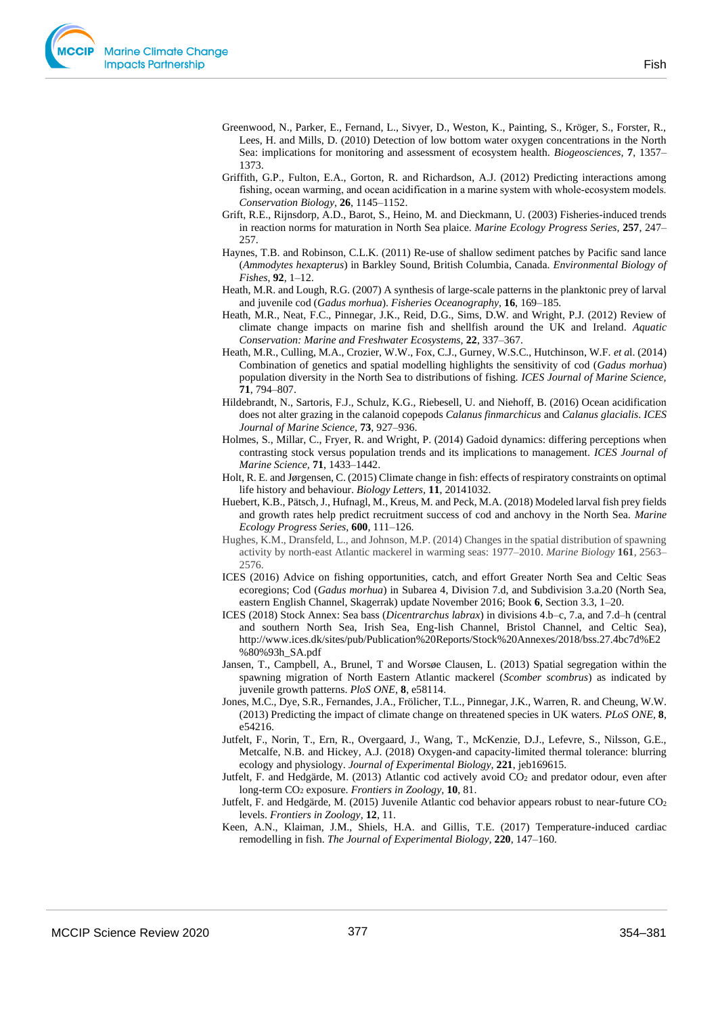- Greenwood, N., Parker, E., Fernand, L., Sivyer, D., Weston, K., Painting, S., Kröger, S., Forster, R., Lees, H. and Mills, D. (2010) Detection of low bottom water oxygen concentrations in the North Sea: implications for monitoring and assessment of ecosystem health. *Biogeosciences,* **7**, 1357– 1373.
- Griffith, G.P., Fulton, E.A., Gorton, R. and Richardson, A.J. (2012) Predicting interactions among fishing, ocean warming, and ocean acidification in a marine system with whole-ecosystem models. *Conservation Biology,* **26**, 1145–1152.
- Grift, R.E., Rijnsdorp, A.D., Barot, S., Heino, M. and Dieckmann, U. (2003) Fisheries-induced trends in reaction norms for maturation in North Sea plaice. *Marine Ecology Progress Series,* **257**, 247– 257.
- Haynes, T.B. and Robinson, C.L.K. (2011) Re-use of shallow sediment patches by Pacific sand lance (*Ammodytes hexapterus*) in Barkley Sound, British Columbia, Canada. *Environmental Biology of Fishes*, **92**, 1–12.
- Heath, M.R. and Lough, R.G. (2007) A synthesis of large-scale patterns in the planktonic prey of larval and juvenile cod (*Gadus morhua*). *Fisheries Oceanography,* **16**, 169–185.
- Heath, M.R., Neat, F.C., Pinnegar, J.K., Reid, D.G., Sims, D.W. and Wright, P.J. (2012) Review of climate change impacts on marine fish and shellfish around the UK and Ireland. *Aquatic Conservation: Marine and Freshwater Ecosystems,* **22**, 337–367.
- Heath, M.R., Culling, M.A., Crozier, W.W., Fox, C.J., Gurney, W.S.C., Hutchinson, W.F. *et a*l. (2014) Combination of genetics and spatial modelling highlights the sensitivity of cod (*Gadus morhua*) population diversity in the North Sea to distributions of fishing. *ICES Journal of Marine Science,* **71**, 794–807.
- Hildebrandt, N., Sartoris, F.J., Schulz, K.G., Riebesell, U. and Niehoff, B. (2016) Ocean acidification does not alter grazing in the calanoid copepods *Calanus finmarchicus* and *Calanus glacialis*. *ICES Journal of Marine Science,* **73**, 927–936.
- Holmes, S., Millar, C., Fryer, R. and Wright, P. (2014) Gadoid dynamics: differing perceptions when contrasting stock versus population trends and its implications to management. *ICES Journal of Marine Science,* **71**, 1433–1442.
- Holt, R. E. and Jørgensen, C. (2015) Climate change in fish: effects of respiratory constraints on optimal life history and behaviour. *Biology Letters,* **11**, 20141032.
- Huebert, K.B., Pätsch, J., Hufnagl, M., Kreus, M. and Peck, M.A. (2018) Modeled larval fish prey fields and growth rates help predict recruitment success of cod and anchovy in the North Sea. *Marine Ecology Progress Series,* **600**, 111–126.
- Hughes, K.M., Dransfeld, L., and Johnson, M.P. (2014) Changes in the spatial distribution of spawning activity by north-east Atlantic mackerel in warming seas: 1977–2010. *Marine Biology* **161**, 2563– 2576.
- ICES (2016) Advice on fishing opportunities, catch, and effort Greater North Sea and Celtic Seas ecoregions; Cod (*Gadus morhua*) in Subarea 4, Division 7.d, and Subdivision 3.a.20 (North Sea, eastern English Channel, Skagerrak) update November 2016; Book **6**, Section 3.3, 1–20.
- ICES (2018) Stock Annex: Sea bass (*Dicentrarchus labrax*) in divisions 4.b–c, 7.a, and 7.d–h (central and southern North Sea, Irish Sea, Eng-lish Channel, Bristol Channel, and Celtic Sea), http://www.ices.dk/sites/pub/Publication%20Reports/Stock%20Annexes/2018/bss.27.4bc7d%E2 %80%93h\_SA.pdf
- Jansen, T., Campbell, A., Brunel, T and Worsøe Clausen, L. (2013) Spatial segregation within the spawning migration of North Eastern Atlantic mackerel (*Scomber scombrus*) as indicated by juvenile growth patterns. *PloS ONE*, **8**, e58114.
- Jones, M.C., Dye, S.R., Fernandes, J.A., Frölicher, T.L., Pinnegar, J.K., Warren, R. and Cheung, W.W. (2013) Predicting the impact of climate change on threatened species in UK waters. *PLoS ONE,* **8**, e54216.
- Jutfelt, F., Norin, T., Ern, R., Overgaard, J., Wang, T., McKenzie, D.J., Lefevre, S., Nilsson, G.E., Metcalfe, N.B. and Hickey, A.J. (2018) Oxygen-and capacity-limited thermal tolerance: blurring ecology and physiology. *Journal of Experimental Biology,* **221**, jeb169615.
- Jutfelt, F. and Hedgärde, M. (2013) Atlantic cod actively avoid CO<sup>2</sup> and predator odour, even after long-term CO<sup>2</sup> exposure. *Frontiers in Zoology,* **10**, 81.
- Jutfelt, F. and Hedgärde, M. (2015) Juvenile Atlantic cod behavior appears robust to near-future CO<sup>2</sup> levels. *Frontiers in Zoology,* **12**, 11.
- Keen, A.N., Klaiman, J.M., Shiels, H.A. and Gillis, T.E. (2017) Temperature-induced cardiac remodelling in fish. *The Journal of Experimental Biology,* **220**, 147–160.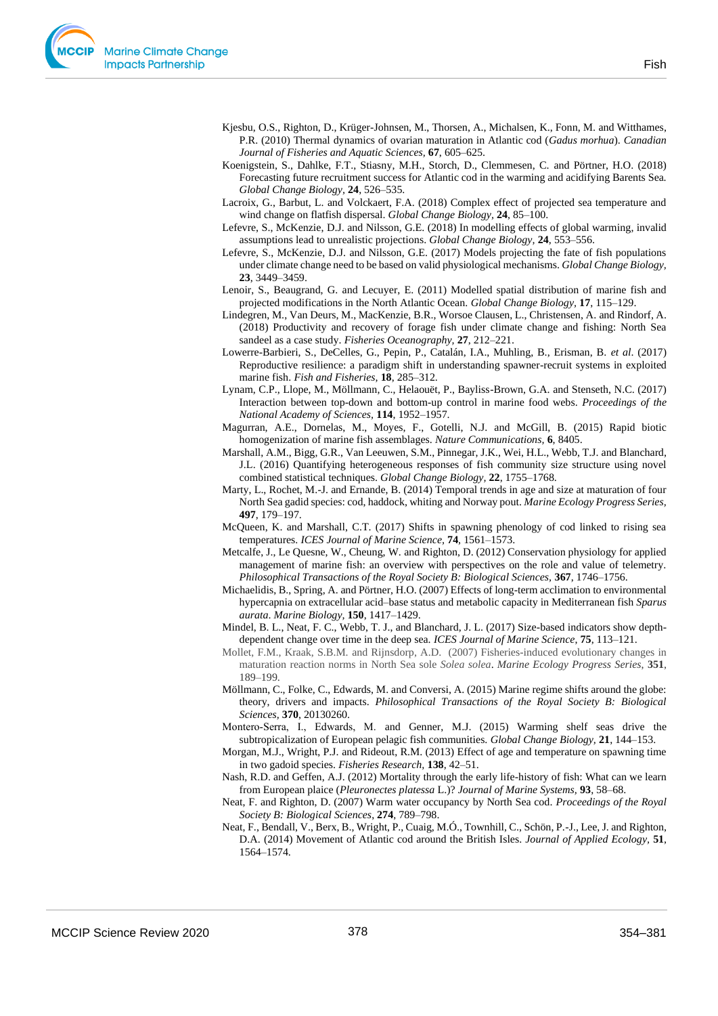

- Kjesbu, O.S., Righton, D., Krüger-Johnsen, M., Thorsen, A., Michalsen, K., Fonn, M. and Witthames, P.R. (2010) Thermal dynamics of ovarian maturation in Atlantic cod (*Gadus morhua*). *Canadian Journal of Fisheries and Aquatic Sciences,* **67**, 605–625.
- Koenigstein, S., Dahlke, F.T., Stiasny, M.H., Storch, D., Clemmesen, C. and Pörtner, H.O. (2018) Forecasting future recruitment success for Atlantic cod in the warming and acidifying Barents Sea. *Global Change Biology,* **24**, 526–535.
- Lacroix, G., Barbut, L. and Volckaert, F.A. (2018) Complex effect of projected sea temperature and wind change on flatfish dispersal. *Global Change Biology,* **24**, 85–100.
- Lefevre, S., McKenzie, D.J. and Nilsson, G.E. (2018) In modelling effects of global warming, invalid assumptions lead to unrealistic projections. *Global Change Biology,* **24**, 553–556.
- Lefevre, S., McKenzie, D.J. and Nilsson, G.E. (2017) Models projecting the fate of fish populations under climate change need to be based on valid physiological mechanisms. *Global Change Biology,* **23**, 3449–3459.
- Lenoir, S., Beaugrand, G. and Lecuyer, E. (2011) Modelled spatial distribution of marine fish and projected modifications in the North Atlantic Ocean. *Global Change Biology,* **17**, 115–129.
- Lindegren, M., Van Deurs, M., MacKenzie, B.R., Worsoe Clausen, L., Christensen, A. and Rindorf, A. (2018) Productivity and recovery of forage fish under climate change and fishing: North Sea sandeel as a case study. *Fisheries Oceanography,* **27**, 212–221.
- Lowerre-Barbieri, S., DeCelles, G., Pepin, P., Catalán, I.A., Muhling, B., Erisman, B. *et al*. (2017) Reproductive resilience: a paradigm shift in understanding spawner-recruit systems in exploited marine fish. *Fish and Fisheries,* **18**, 285–312.
- Lynam, C.P., Llope, M., Möllmann, C., Helaouët, P., Bayliss-Brown, G.A. and Stenseth, N.C. (2017) Interaction between top-down and bottom-up control in marine food webs. *Proceedings of the National Academy of Sciences,* **114**, 1952–1957.
- Magurran, A.E., Dornelas, M., Moyes, F., Gotelli, N.J. and McGill, B. (2015) Rapid biotic homogenization of marine fish assemblages. *Nature Communications,* **6**, 8405.
- Marshall, A.M., Bigg, G.R., Van Leeuwen, S.M., Pinnegar, J.K., Wei, H.L., Webb, T.J. and Blanchard, J.L. (2016) Quantifying heterogeneous responses of fish community size structure using novel combined statistical techniques. *Global Change Biology,* **22**, 1755–1768.
- Marty, L., Rochet, M.-J. and Ernande, B. (2014) Temporal trends in age and size at maturation of four North Sea gadid species: cod, haddock, whiting and Norway pout. *Marine Ecology Progress Series,* **497**, 179–197.
- McQueen, K. and Marshall, C.T. (2017) Shifts in spawning phenology of cod linked to rising sea temperatures. *ICES Journal of Marine Science,* **74**, 1561–1573.
- Metcalfe, J., Le Quesne, W., Cheung, W. and Righton, D. (2012) Conservation physiology for applied management of marine fish: an overview with perspectives on the role and value of telemetry. *Philosophical Transactions of the Royal Society B: Biological Sciences,* **367**, 1746–1756.
- Michaelidis, B., Spring, A. and Pörtner, H.O. (2007) Effects of long-term acclimation to environmental hypercapnia on extracellular acid–base status and metabolic capacity in Mediterranean fish *Sparus aurata*. *Marine Biology,* **150**, 1417–1429.
- Mindel, B. L., Neat, F. C., Webb, T. J., and Blanchard, J. L. (2017) Size-based indicators show depthdependent change over time in the deep sea. *ICES Journal of Marine Science*, **75**, 113–121.
- Mollet, F.M., Kraak, S.B.M. and Rijnsdorp, A.D. (2007) Fisheries-induced evolutionary changes in maturation reaction norms in North Sea sole *Solea solea*. *Marine Ecology Progress Series*, **351**, 189–199.
- Möllmann, C., Folke, C., Edwards, M. and Conversi, A. (2015) Marine regime shifts around the globe: theory, drivers and impacts. *Philosophical Transactions of the Royal Society B: Biological Sciences,* **370**, 20130260.
- Montero‐Serra, I., Edwards, M. and Genner, M.J. (2015) Warming shelf seas drive the subtropicalization of European pelagic fish communities. *Global Change Biology,* **21**, 144–153.
- Morgan, M.J., Wright, P.J. and Rideout, R.M. (2013) Effect of age and temperature on spawning time in two gadoid species. *Fisheries Research,* **138**, 42–51.
- Nash, R.D. and Geffen, A.J. (2012) Mortality through the early life-history of fish: What can we learn from European plaice (*Pleuronectes platessa* L.)? *Journal of Marine Systems,* **93**, 58–68.
- Neat, F. and Righton, D. (2007) Warm water occupancy by North Sea cod. *Proceedings of the Royal Society B: Biological Sciences*, **274**, 789–798.
- Neat, F., Bendall, V., Berx, B., Wright, P., Cuaig, M.Ó., Townhill, C., Schön, P.-J., Lee, J. and Righton, D.A. (2014) Movement of Atlantic cod around the British Isles. *Journal of Applied Ecology,* **51**, 1564–1574.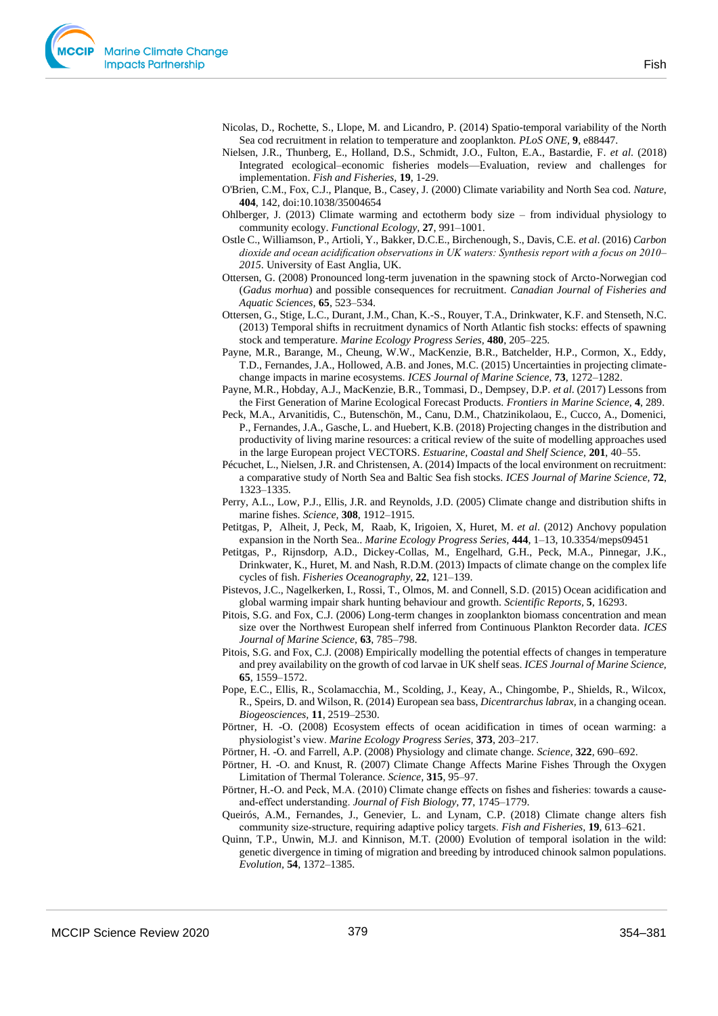

- Nicolas, D., Rochette, S., Llope, M. and Licandro, P. (2014) Spatio-temporal variability of the North Sea cod recruitment in relation to temperature and zooplankton. *PLoS ONE,* **9**, e88447.
- Nielsen, J.R., Thunberg, E., Holland, D.S., Schmidt, J.O., Fulton, E.A., Bastardie, F. *et al*. (2018) Integrated ecological–economic fisheries models—Evaluation, review and challenges for implementation. *Fish and Fisheries,* **19**, 1-29.
- O'Brien, C.M., Fox, C.J., Planque, B., Casey, J. (2000) Climate variability and North Sea cod. *Nature*, **404**, 142, doi:10.1038/35004654
- Ohlberger, J. (2013) Climate warming and ectotherm body size from individual physiology to community ecology. *Functional Ecology,* **27**, 991–1001.
- Ostle C., Williamson, P., Artioli, Y., Bakker, D.C.E., Birchenough, S., Davis, C.E. *et al*. (2016) *Carbon dioxide and ocean acidification observations in UK waters: Synthesis report with a focus on 2010– 2015*. University of East Anglia, UK.
- Ottersen, G. (2008) Pronounced long-term juvenation in the spawning stock of Arcto-Norwegian cod (*Gadus morhua*) and possible consequences for recruitment. *Canadian Journal of Fisheries and Aquatic Sciences,* **65**, 523–534.
- Ottersen, G., Stige, L.C., Durant, J.M., Chan, K.-S., Rouyer, T.A., Drinkwater, K.F. and Stenseth, N.C. (2013) Temporal shifts in recruitment dynamics of North Atlantic fish stocks: effects of spawning stock and temperature. *Marine Ecology Progress Series,* **480**, 205–225.
- Payne, M.R., Barange, M., Cheung, W.W., MacKenzie, B.R., Batchelder, H.P., Cormon, X., Eddy, T.D., Fernandes, J.A., Hollowed, A.B. and Jones, M.C. (2015) Uncertainties in projecting climatechange impacts in marine ecosystems. *ICES Journal of Marine Science,* **73**, 1272–1282.
- Payne, M.R., Hobday, A.J., MacKenzie, B.R., Tommasi, D., Dempsey, D.P. *et al*. (2017) Lessons from the First Generation of Marine Ecological Forecast Products. *Frontiers in Marine Science,* **4**, 289.
- Peck, M.A., Arvanitidis, C., Butenschön, M., Canu, D.M., Chatzinikolaou, E., Cucco, A., Domenici, P., Fernandes, J.A., Gasche, L. and Huebert, K.B. (2018) Projecting changes in the distribution and productivity of living marine resources: a critical review of the suite of modelling approaches used in the large European project VECTORS. *Estuarine, Coastal and Shelf Science,* **201**, 40–55.
- Pécuchet, L., Nielsen, J.R. and Christensen, A. (2014) Impacts of the local environment on recruitment: a comparative study of North Sea and Baltic Sea fish stocks. *ICES Journal of Marine Science,* **72**, 1323–1335.
- Perry, A.L., Low, P.J., Ellis, J.R. and Reynolds, J.D. (2005) Climate change and distribution shifts in marine fishes. *Science,* **308**, 1912–1915.
- Petitgas, P, Alheit, J, Peck, M, Raab, K, Irigoien, X, Huret, M. *et al*. (2012) Anchovy population expansion in the North Sea.. *Marine Ecology Progress Series,* **444**, 1–13, 10.3354/meps09451
- Petitgas, P., Rijnsdorp, A.D., Dickey-Collas, M., Engelhard, G.H., Peck, M.A., Pinnegar, J.K., Drinkwater, K., Huret, M. and Nash, R.D.M. (2013) Impacts of climate change on the complex life cycles of fish. *Fisheries Oceanography,* **22**, 121–139.
- Pistevos, J.C., Nagelkerken, I., Rossi, T., Olmos, M. and Connell, S.D. (2015) Ocean acidification and global warming impair shark hunting behaviour and growth. *Scientific Reports,* **5**, 16293.
- Pitois, S.G. and Fox, C.J. (2006) Long-term changes in zooplankton biomass concentration and mean size over the Northwest European shelf inferred from Continuous Plankton Recorder data. *ICES Journal of Marine Science,* **63**, 785–798.
- Pitois, S.G. and Fox, C.J. (2008) Empirically modelling the potential effects of changes in temperature and prey availability on the growth of cod larvae in UK shelf seas. *ICES Journal of Marine Science,* **65**, 1559–1572.
- Pope, E.C., Ellis, R., Scolamacchia, M., Scolding, J., Keay, A., Chingombe, P., Shields, R., Wilcox, R., Speirs, D. and Wilson, R. (2014) European sea bass, *Dicentrarchus labrax,* in a changing ocean. *Biogeosciences,* **11**, 2519–2530.
- Pörtner, H. -O. (2008) Ecosystem effects of ocean acidification in times of ocean warming: a physiologist's view. *Marine Ecology Progress Series,* **373**, 203–217.
- Pörtner, H. -O. and Farrell, A.P. (2008) Physiology and climate change. *Science,* **322**, 690–692.

Pörtner, H. -O. and Knust, R. (2007) Climate Change Affects Marine Fishes Through the Oxygen Limitation of Thermal Tolerance. *Science,* **315**, 95–97.

- Pörtner, H.-O. and Peck, M.A. (2010) Climate change effects on fishes and fisheries: towards a causeand‐effect understanding. *Journal of Fish Biology,* **77**, 1745–1779.
- Queirós, A.M., Fernandes, J., Genevier, L. and Lynam, C.P. (2018) Climate change alters fish community size‐structure, requiring adaptive policy targets. *Fish and Fisheries,* **19**, 613–621.
- Quinn, T.P., Unwin, M.J. and Kinnison, M.T. (2000) Evolution of temporal isolation in the wild: genetic divergence in timing of migration and breeding by introduced chinook salmon populations. *Evolution,* **54**, 1372–1385.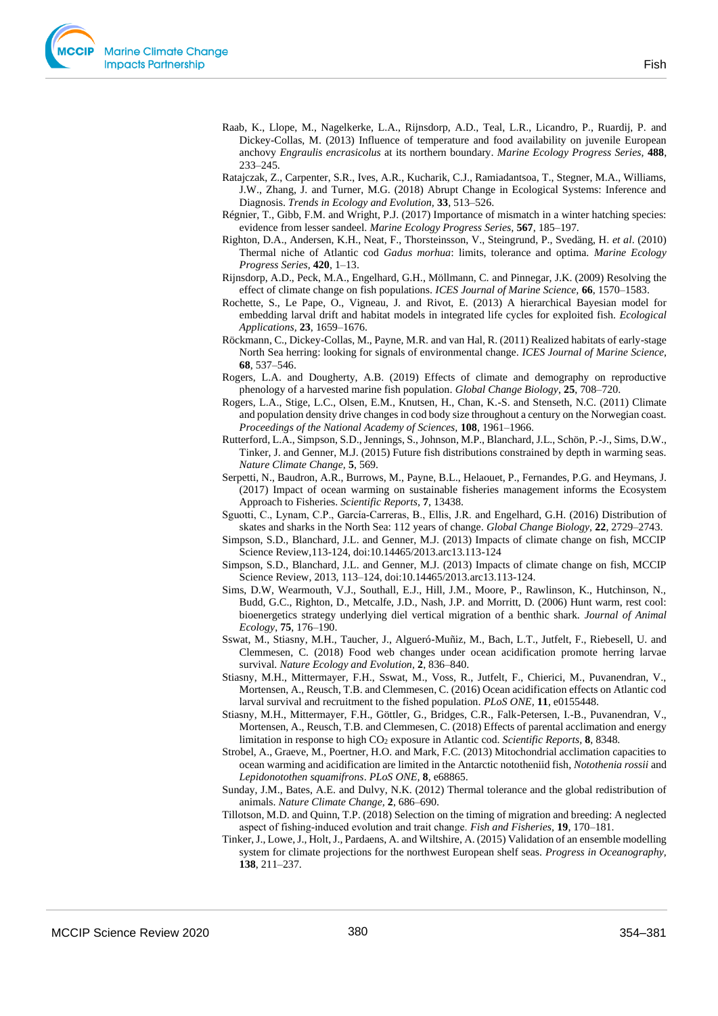- Ratajczak, Z., Carpenter, S.R., Ives, A.R., Kucharik, C.J., Ramiadantsoa, T., Stegner, M.A., Williams, J.W., Zhang, J. and Turner, M.G. (2018) Abrupt Change in Ecological Systems: Inference and Diagnosis. *Trends in Ecology and Evolution,* **33**, 513–526.
- Régnier, T., Gibb, F.M. and Wright, P.J. (2017) Importance of mismatch in a winter hatching species: evidence from lesser sandeel. *Marine Ecology Progress Series,* **567**, 185–197.
- Righton, D.A., Andersen, K.H., Neat, F., Thorsteinsson, V., Steingrund, P., Svedäng, H. *et al*. (2010) Thermal niche of Atlantic cod *Gadus morhua*: limits, tolerance and optima. *Marine Ecology Progress Series,* **420**, 1–13.
- Rijnsdorp, A.D., Peck, M.A., Engelhard, G.H., Möllmann, C. and Pinnegar, J.K. (2009) Resolving the effect of climate change on fish populations. *ICES Journal of Marine Science,* **66**, 1570–1583.
- Rochette, S., Le Pape, O., Vigneau, J. and Rivot, E. (2013) A hierarchical Bayesian model for embedding larval drift and habitat models in integrated life cycles for exploited fish. *Ecological Applications,* **23**, 1659–1676.
- Röckmann, C., Dickey-Collas, M., Payne, M.R. and van Hal, R. (2011) Realized habitats of early-stage North Sea herring: looking for signals of environmental change. *ICES Journal of Marine Science,* **68**, 537–546.
- Rogers, L.A. and Dougherty, A.B. (2019) Effects of climate and demography on reproductive phenology of a harvested marine fish population. *Global Change Biology*, **25**, 708–720.
- Rogers, L.A., Stige, L.C., Olsen, E.M., Knutsen, H., Chan, K.-S. and Stenseth, N.C. (2011) Climate and population density drive changes in cod body size throughout a century on the Norwegian coast. *Proceedings of the National Academy of Sciences,* **108**, 1961–1966.
- Rutterford, L.A., Simpson, S.D., Jennings, S., Johnson, M.P., Blanchard, J.L., Schön, P.-J., Sims, D.W., Tinker, J. and Genner, M.J. (2015) Future fish distributions constrained by depth in warming seas. *Nature Climate Change,* **5**, 569.
- Serpetti, N., Baudron, A.R., Burrows, M., Payne, B.L., Helaouet, P., Fernandes, P.G. and Heymans, J. (2017) Impact of ocean warming on sustainable fisheries management informs the Ecosystem Approach to Fisheries. *Scientific Reports,* **7**, 13438.
- Sguotti, C., Lynam, C.P., García‐Carreras, B., Ellis, J.R. and Engelhard, G.H. (2016) Distribution of skates and sharks in the North Sea: 112 years of change. *Global Change Biology,* **22**, 2729–2743.
- Simpson, S.D., Blanchard, J.L. and Genner, M.J. (2013) Impacts of climate change on fish, MCCIP Science Review,113-124, doi:10.14465/2013.arc13.113-124
- Simpson, S.D., Blanchard, J.L. and Genner, M.J. (2013) Impacts of climate change on fish, MCCIP Science Review, 2013, 113–124, doi:10.14465/2013.arc13.113-124.
- Sims, D.W, Wearmouth, V.J., Southall, E.J., Hill, J.M., Moore, P., Rawlinson, K., Hutchinson, N., Budd, G.C., Righton, D., Metcalfe, J.D., Nash, J.P. and Morritt, D. (2006) Hunt warm, rest cool: bioenergetics strategy underlying diel vertical migration of a benthic shark. *Journal of Animal Ecology*, **75**, 176–190.
- Sswat, M., Stiasny, M.H., Taucher, J., Algueró-Muñiz, M., Bach, L.T., Jutfelt, F., Riebesell, U. and Clemmesen, C. (2018) Food web changes under ocean acidification promote herring larvae survival. *Nature Ecology and Evolution,* **2**, 836–840.
- Stiasny, M.H., Mittermayer, F.H., Sswat, M., Voss, R., Jutfelt, F., Chierici, M., Puvanendran, V., Mortensen, A., Reusch, T.B. and Clemmesen, C. (2016) Ocean acidification effects on Atlantic cod larval survival and recruitment to the fished population. *PLoS ONE,* **11**, e0155448.
- Stiasny, M.H., Mittermayer, F.H., Göttler, G., Bridges, C.R., Falk-Petersen, I.-B., Puvanendran, V., Mortensen, A., Reusch, T.B. and Clemmesen, C. (2018) Effects of parental acclimation and energy limitation in response to high CO<sup>2</sup> exposure in Atlantic cod. *Scientific Reports,* **8**, 8348.
- Strobel, A., Graeve, M., Poertner, H.O. and Mark, F.C. (2013) Mitochondrial acclimation capacities to ocean warming and acidification are limited in the Antarctic nototheniid fish, *Notothenia rossii* and *Lepidonotothen squamifrons*. *PLoS ONE,* **8**, e68865.
- Sunday, J.M., Bates, A.E. and Dulvy, N.K. (2012) Thermal tolerance and the global redistribution of animals. *Nature Climate Change,* **2**, 686–690.
- Tillotson, M.D. and Quinn, T.P. (2018) Selection on the timing of migration and breeding: A neglected aspect of fishing‐induced evolution and trait change. *Fish and Fisheries,* **19**, 170–181.
- Tinker, J., Lowe, J., Holt, J., Pardaens, A. and Wiltshire, A. (2015) Validation of an ensemble modelling system for climate projections for the northwest European shelf seas. *Progress in Oceanography,* **138**, 211–237.